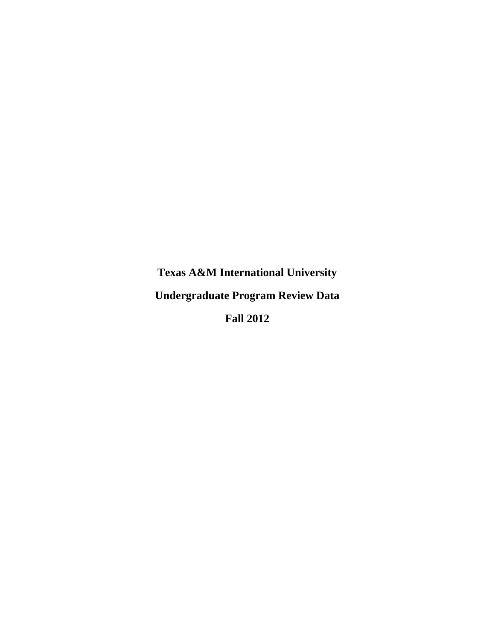**Texas A&M International University Undergraduate Program Review Data Fall 2012**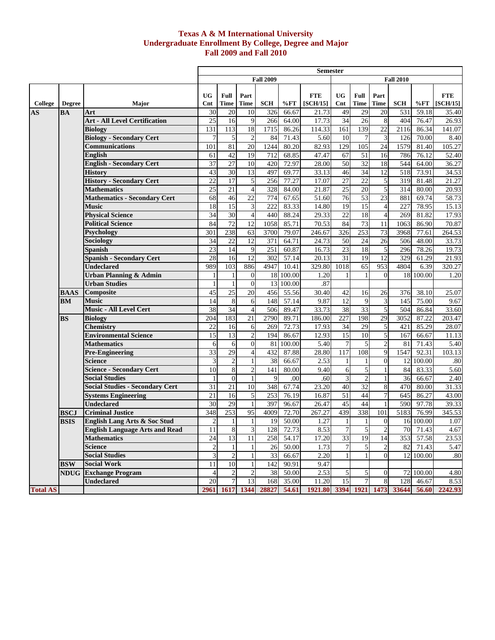#### **Texas A & M International University Undergraduate Enrollment By College, Degree and Major Fall 2009 and Fall 2010**

|                 |               |                                                                       |                         |                                |                         |                  |                    | <b>Semester</b>        |                                |                      |                     |                  |                       |                        |
|-----------------|---------------|-----------------------------------------------------------------------|-------------------------|--------------------------------|-------------------------|------------------|--------------------|------------------------|--------------------------------|----------------------|---------------------|------------------|-----------------------|------------------------|
|                 |               |                                                                       |                         |                                |                         | <b>Fall 2009</b> |                    |                        |                                |                      |                     | <b>Fall 2010</b> |                       |                        |
| College         | <b>Degree</b> | <b>Major</b>                                                          | <b>UG</b><br>Cnt        | Full<br>Time                   | Part<br><b>Time</b>     | <b>SCH</b>       | %FT                | <b>FTE</b><br>[SCH/15] | <b>UG</b><br>Cnt               | Full<br><b>Time</b>  | Part<br><b>Time</b> | <b>SCH</b>       | %FT                   | <b>FTE</b><br>[SCH/15] |
| <b>AS</b>       | <b>BA</b>     | Art                                                                   | 30                      | 20                             | 10                      | 326              | 66.67              | 21.73                  | 49                             | 29                   | 20                  | 531              | 59.18                 | 35.40                  |
|                 |               | <b>Art - All Level Certification</b>                                  | $\overline{25}$         | 16                             | 9                       | 266              | 64.00              | 17.73                  | 34                             | 26                   | $\,8\,$             | 404              | 76.47                 | 26.93                  |
|                 |               | <b>Biology</b>                                                        | 131                     | 113                            | 18                      | 1715             | 86.26              | 114.33                 | 161                            | 139                  | 22                  | 2116             | 86.34                 | 141.07                 |
|                 |               | <b>Biology - Secondary Cert</b>                                       | $\overline{7}$          | 5 <sup>1</sup>                 | $\overline{2}$          | 84               | 71.43              | 5.60                   | 10                             | $\overline{7}$       | 3                   | 126              | 70.00                 | 8.40                   |
|                 |               | <b>Communications</b>                                                 | 101                     | 81                             | $\overline{20}$         | 1244             | 80.20              | 82.93                  | 129                            | 105                  | 24                  | 1579             | 81.40                 | 105.27                 |
|                 |               | <b>English</b>                                                        | 61                      | 42                             | 19                      | 712              | 68.85              | 47.47                  | 67                             | 51                   | 16                  | 786              | 76.12                 | 52.40                  |
|                 |               | <b>English - Secondary Cert</b>                                       | 37                      | 27                             | 10                      | 420              | 72.97              | 28.00                  | 50                             | 32                   | 18                  | 544              | 64.00                 | 36.27                  |
|                 |               | <b>History</b>                                                        | 43                      | 30                             | 13                      | 497              | 69.77              | 33.13                  | 46                             | 34                   | 12                  | 518              | 73.91                 | 34.53                  |
|                 |               | <b>History - Secondary Cert</b>                                       | 22                      | 17                             | 5                       | 256              | 77.27              | 17.07                  | 27                             | 22                   | 5                   | 319              | 81.48                 | 21.27                  |
|                 |               | <b>Mathematics</b>                                                    | 25                      | 21                             | $\overline{4}$          | 328              | 84.00              | 21.87                  | 25                             | 20                   | 5                   | 314              | 80.00                 | 20.93                  |
|                 |               | <b>Mathematics - Secondary Cert</b>                                   | 68                      | 46                             | 22                      | 774              | 67.65              | 51.60                  | 76                             | 53                   | 23                  | 881              | 69.74                 | 58.73                  |
|                 |               | <b>Music</b>                                                          | 18                      | 15                             | $\overline{\mathbf{3}}$ | 222              | 83.33              | 14.80                  | 19                             | $\overline{15}$      | $\overline{4}$      | 227              | 78.95                 | 15.13                  |
|                 |               | <b>Physical Science</b>                                               | 34                      | 30                             | $\overline{4}$          | 440              | 88.24              | 29.33                  | 22                             | 18                   | $\overline{4}$      | 269              | 81.82                 | 17.93                  |
|                 |               | <b>Political Science</b>                                              | 84                      | 72                             | 12                      | 1058             | 85.71              | 70.53                  | 84                             | 73                   | 11                  | 1063             | 86.90                 | 70.87                  |
|                 |               | Psychology                                                            | 301                     | 238                            | $\overline{63}$         | 3700             | 79.07              | 246.67                 | 326                            | 253                  | 73                  | 3968             | 77.61                 | 264.53                 |
|                 |               | Sociology                                                             | 34                      | 22                             | 12                      | 371              | 64.71              | 24.73                  | 50                             | 24                   | 26                  | 506              | 48.00                 | 33.73                  |
|                 |               | <b>Spanish</b>                                                        | 23                      | 14                             | 9                       | 251              | 60.87              | 16.73                  | 23                             | 18                   | 5                   | 296              | 78.26                 | 19.73                  |
|                 |               | <b>Spanish - Secondary Cert</b>                                       | 28                      | 16                             | $\overline{12}$         | 302              | 57.14              | 20.13                  | 31                             | 19                   | 12                  | 329              | 61.29                 | 21.93                  |
|                 |               | <b>Undeclared</b>                                                     | 989                     | 103                            | 886                     | 4947             | 10.41              | 329.80                 | 1018                           | 65                   | 953                 | 4804             | 6.39                  | 320.27                 |
|                 |               | <b>Urban Planning &amp; Admin</b>                                     |                         | 1                              | $\theta$                |                  | 18 100.00          | 1.20                   |                                | 1                    | $\Omega$            |                  | 18 100.00             | 1.20                   |
|                 |               | <b>Urban Studies</b>                                                  |                         | $\mathbf{1}$                   | $\theta$                | 13               | 100.00             | .87                    |                                |                      |                     |                  |                       |                        |
|                 | <b>BAAS</b>   | Composite                                                             | 45                      | 25                             | 20                      | 456              | 55.56              | 30.40                  | 42                             | 16                   | 26                  | 376              | 38.10                 | 25.07                  |
|                 | <b>BM</b>     | <b>Music</b>                                                          | 14                      | 8                              | 6                       | 148              | 57.14              | 9.87                   | 12                             | 9                    | 3                   | 145              | 75.00                 | 9.67                   |
|                 |               | Music - All Level Cert                                                | 38                      | 34                             | $\overline{4}$          | 506              | 89.47              | 33.73                  | 38                             | $\overline{33}$      | 5                   | 504              | 86.84                 | 33.60                  |
|                 | <b>BS</b>     | <b>Biology</b>                                                        | 204                     | 183                            | $\overline{21}$         | 2790             | 89.71              | 186.00                 | 227                            | 198                  | 29                  | 3052             | 87.22                 | 203.47                 |
|                 |               | <b>Chemistry</b>                                                      | 22                      | 16                             | 6                       | 269              | 72.73              | 17.93                  | 34                             | 29                   | 5                   | 421              | 85.29                 | 28.07                  |
|                 |               | <b>Environmental Science</b>                                          | 15                      | 13                             | $\overline{2}$          | 194              | 86.67              | 12.93                  | $\overline{15}$                | 10                   | 5                   | 167              | 66.67                 | 11.13                  |
|                 |               | <b>Mathematics</b>                                                    | 6                       | 6                              | $\boldsymbol{0}$        | 81               | 100.00             | 5.40                   | $\overline{7}$                 | 5                    | $\sqrt{2}$          | 81               | 71.43                 | 5.40                   |
|                 |               | <b>Pre-Engineering</b>                                                | 33                      | 29                             | $\overline{4}$          | 432              | 87.88              | 28.80                  | 117                            | 108                  | 9                   | 1547             | 92.31                 | 103.13                 |
|                 |               | <b>Science</b>                                                        | 3                       | $\overline{2}$                 | $\mathbf{1}$            | 38               | 66.67              | 2.53                   | $\mathbf{1}$                   | $\mathbf{1}$         | $\overline{0}$      | 12               | 100.00                | .80                    |
|                 |               | <b>Science - Secondary Cert</b>                                       | 10                      | 8                              | $\overline{2}$          | 141              | 80.00              | 9.40                   | 6                              | 5                    |                     | 84               | 83.33                 | 5.60                   |
|                 |               | <b>Social Studies</b>                                                 | 1                       | $\overline{0}$                 | $\mathbf{1}$<br>10      | 9                | .00                | .60                    | 3                              | $\overline{c}$<br>32 | 1                   | 36               | 66.67                 | 2.40                   |
|                 |               | <b>Social Studies - Secondary Cert</b>                                | 31                      | 21<br>16                       |                         | 348              | 67.74              | 23.20                  | 40<br>51                       | 44                   | 8<br>7              | 470              | 80.00                 | 31.33                  |
|                 |               | <b>Systems Engineering</b>                                            | 21<br>30                |                                | 5<br>$\mathbf{1}$       | 253              | 76.19              | 16.87<br>26.47         | 45                             | 44                   |                     | 645              | 86.27                 | 43.00                  |
|                 |               | <b>Undeclared</b><br><b>Criminal Justice</b>                          | 348                     | 29<br>253                      | 95                      | 397<br>4009      | 96.67              | 267.27                 | 439                            | 338                  | 101                 | 590<br>5183      | 97.78<br>76.99        | 39.33<br>345.53        |
|                 | <b>BSCJ</b>   |                                                                       |                         |                                | $\mathbf{1}$            |                  | 72.70              |                        |                                |                      |                     |                  |                       |                        |
|                 | <b>BSIS</b>   | English Lang Arts & Soc Stud<br><b>English Language Arts and Read</b> | $\overline{c}$<br>11    | $\mathbf{1}$<br>$\overline{8}$ | $\overline{3}$          | 19               | 50.00<br>128 72.73 | 1.27<br>8.53           | $\mathbf{1}$<br>$\overline{7}$ | $\mathbf{1}$<br>5    | $\overline{0}$      |                  | 16 100.00<br>70 71.43 | 1.07<br>4.67           |
|                 |               | <b>Mathematics</b>                                                    | 24                      | 13                             | 11                      | 258              | 54.17              | 17.20                  | 33                             | 19                   | 14                  |                  | 353 57.58             | 23.53                  |
|                 |               | <b>Science</b>                                                        | $\mathbf{2}$            | 1 <sup>1</sup>                 | 1                       | 26               | 50.00              | 1.73                   | $\tau$                         | 5                    | $\overline{c}$      | 82               | 71.43                 | 5.47                   |
|                 |               | <b>Social Studies</b>                                                 | $\overline{\mathbf{3}}$ | $\overline{c}$                 | $\mathbf{1}$            | 33               | 66.67              | 2.20                   |                                | 1                    | $\overline{0}$      |                  | 12 100.00             | .80 <sub>l</sub>       |
|                 | <b>BSW</b>    | <b>Social Work</b>                                                    | 11                      | 10                             | $\mathbf{1}$            | 142              | 90.91              | 9.47                   |                                |                      |                     |                  |                       |                        |
|                 |               | <b>NDUG Exchange Program</b>                                          | $\overline{4}$          | $\overline{c}$                 | $\overline{c}$          | 38               | 50.00              | 2.53                   | 5                              | 5                    | $\theta$            |                  | 72 100.00             | 4.80                   |
|                 |               | <b>Undeclared</b>                                                     | 20                      | 7 <sup>1</sup>                 | 13                      | 168              | 35.00              | 11.20                  | 15                             | 7                    | 8                   | 128              | 46.67                 | 8.53                   |
| <b>Total AS</b> |               |                                                                       | 2961                    | 1617                           | 1344                    | 28827            | 54.61              | 1921.80 3394 1921      |                                |                      | 1473                | 33644            | 56.60                 | 2242.93                |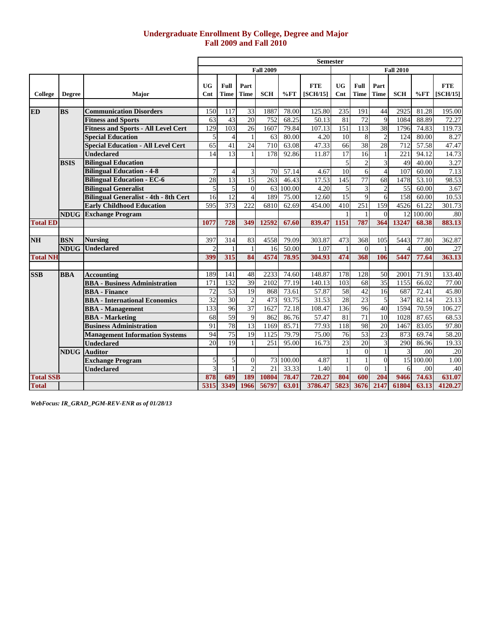## **Undergraduate Enrollment By College, Degree and Major Fall 2009 and Fall 2010**

|                  |               |                                              |                  |                  |                  |                  |        | <b>Semester</b>        |                             |                     |                 |                  |           |                        |
|------------------|---------------|----------------------------------------------|------------------|------------------|------------------|------------------|--------|------------------------|-----------------------------|---------------------|-----------------|------------------|-----------|------------------------|
|                  |               |                                              |                  |                  |                  | <b>Fall 2009</b> |        |                        |                             |                     |                 | <b>Fall 2010</b> |           |                        |
| College          | <b>Degree</b> | <b>Major</b>                                 | <b>UG</b><br>Cnt | Full<br>Time     | Part<br>Time     | <b>SCH</b>       | $\%FT$ | <b>FTE</b><br>[SCH/15] | <b>UG</b><br>$\mathbf{Cnt}$ | Full<br><b>Time</b> | Part<br>Time    | <b>SCH</b>       | $\%FT$    | <b>FTE</b><br>[SCH/15] |
|                  |               |                                              |                  |                  |                  |                  |        |                        |                             |                     |                 |                  |           |                        |
| <b>ED</b>        | <b>BS</b>     | <b>Communication Disorders</b>               | 150              | 117              | 33               | 1887             | 78.00  | 125.80                 | 235                         | 191                 | 44              | 2925             | 81.28     | 195.00                 |
|                  |               | <b>Fitness and Sports</b>                    | 63               | 43               | 20               | 752              | 68.25  | 50.13                  | 81                          | 72                  | 9               | 1084             | 88.89     | 72.27                  |
|                  |               | <b>Fitness and Sports - All Level Cert</b>   | 129              | 103              | 26               | 1607             | 79.84  | 107.13                 | 151                         | 113                 | 38              | 1796             | 74.83     | 119.73                 |
|                  |               | <b>Special Education</b>                     | 5                | $\overline{4}$   | $\mathbf{1}$     | 63               | 80.00  | 4.20                   | 10                          | 8                   | $\overline{2}$  | 124              | 80.00     | 8.27                   |
|                  |               | <b>Special Education - All Level Cert</b>    | 65               | 41               | $\overline{24}$  | 710              | 63.08  | 47.33                  | 66                          | 38                  | 28              | 712              | 57.58     | 47.47                  |
|                  |               | <b>Undeclared</b>                            | 14               | 13               | $\mathbf{1}$     | 178              | 92.86  | 11.87                  | 17                          | 16                  |                 | 221              | 94.12     | 14.73                  |
|                  | <b>BSIS</b>   | <b>Bilingual Education</b>                   |                  |                  |                  |                  |        |                        | 5                           | $\overline{c}$      | 3               | 49               | 40.00     | 3.27                   |
|                  |               | <b>Bilingual Education - 4-8</b>             | 7                | $\overline{4}$   | 3                | 70               | 57.14  | 4.67                   | 10                          | 6                   | $\overline{4}$  | $\overline{107}$ | 60.00     | 7.13                   |
|                  |               | <b>Bilingual Education - EC-6</b>            | 28               | 13               | 15               | 263              | 46.43  | 17.53                  | 145                         | 77                  | 68              | 1478             | 53.10     | 98.53                  |
|                  |               | <b>Bilingual Generalist</b>                  | 5                | 5                | $\boldsymbol{0}$ | 63               | 100.00 | 4.20                   | $\mathfrak{S}$              | $\mathfrak{Z}$      | $\overline{c}$  | 55               | 60.00     | 3.67                   |
|                  |               | <b>Bilingual Generalist - 4th - 8th Cert</b> | 16               | $\overline{12}$  | $\overline{4}$   | 189              | 75.00  | 12.60                  | 15                          | 9                   | 6               | 158              | 60.00     | 10.53                  |
|                  |               | <b>Early Childhood Education</b>             | 595              | 373              | 222              | 6810             | 62.69  | 454.00                 | 410                         | 251                 | 159             | 4526             | 61.22     | 301.73                 |
|                  | <b>NDUG</b>   | <b>Exchange Program</b>                      |                  |                  |                  |                  |        |                        | $\mathbf{1}$                |                     | $\Omega$        | 12               | 100.00    | .80                    |
| <b>Total ED</b>  |               |                                              | 1077             | 728              | 349              | 12592            | 67.60  | 839.47                 | 1151                        | 787                 | 364             | 13247            | 68.38     | 883.13                 |
|                  |               |                                              |                  |                  |                  |                  |        |                        |                             |                     |                 |                  |           |                        |
| <b>NH</b>        | <b>BSN</b>    | <b>Nursing</b>                               | 397              | $\overline{314}$ | 83               | 4558             | 79.09  | 303.87                 | 473                         | 368                 | 105             | 5443             | 77.80     | 362.87                 |
|                  | <b>NDUG</b>   | <b>Undeclared</b>                            |                  |                  | $\mathbf{1}$     | 16               | 50.00  | 1.07                   |                             | $\Omega$            |                 |                  | .00       | .27                    |
| <b>Total NH</b>  |               |                                              | 399              | 315              | 84               | 4574             | 78.95  | 304.93                 | 474                         | 368                 | 106             | 5447             | 77.64     | 363.13                 |
|                  |               |                                              |                  |                  |                  |                  |        |                        |                             |                     |                 |                  |           |                        |
| <b>SSB</b>       | <b>BBA</b>    | <b>Accounting</b>                            | 189              | 141              | 48               | 2233             | 74.60  | 148.87                 | 178                         | 128                 | 50              | 2001             | 71.91     | 133.40                 |
|                  |               | <b>BBA</b> - Business Administration         | 171              | 132              | 39               | 2102             | 77.19  | 140.13                 | 103                         | 68                  | $\overline{35}$ | 1155             | 66.02     | 77.00                  |
|                  |               | <b>BBA</b> - Finance                         | $\overline{72}$  | 53               | 19               | 868              | 73.61  | 57.87                  | 58                          | 42                  | 16              | 687              | 72.41     | 45.80                  |
|                  |               | <b>BBA</b> - International Economics         | 32               | $\overline{30}$  | $\overline{c}$   | 473              | 93.75  | 31.53                  | 28                          | 23                  | 5               | 347              | 82.14     | 23.13                  |
|                  |               | <b>BBA</b> - Management                      | 133              | 96               | $\overline{37}$  | 1627             | 72.18  | 108.47                 | 136                         | 96                  | 40              | 1594             | 70.59     | 106.27                 |
|                  |               | <b>BBA</b> - Marketing                       | 68               | 59               | 9                | 862              | 86.76  | 57.47                  | 81                          | 71                  | 10              | 1028             | 87.65     | 68.53                  |
|                  |               | <b>Business Administration</b>               | 91               | 78               | $\overline{13}$  | 1169             | 85.71  | 77.93                  | 118                         | 98                  | 20              | 1467             | 83.05     | 97.80                  |
|                  |               | <b>Management Information Systems</b>        | 94               | 75               | $\overline{19}$  | 1125             | 79.79  | 75.00                  | 76                          | 53                  | 23              | 873              | 69.74     | 58.20                  |
|                  |               | <b>Undeclared</b>                            | 20               | 19               | $\mathbf{1}$     | 251              | 95.00  | 16.73                  | 23                          | 20                  | 3               | 290              | 86.96     | 19.33                  |
|                  | <b>NDUG</b>   | <b>Auditor</b>                               |                  |                  |                  |                  |        |                        |                             | $\theta$            |                 |                  | .00       | .20                    |
|                  |               | <b>Exchange Program</b>                      | 5                | 5                | $\overline{0}$   | 73               | 100.00 | 4.87                   | $\mathbf{1}$                | $\mathbf{1}$        | $\Omega$        |                  | 15 100.00 | 1.00                   |
|                  |               | <b>Undeclared</b>                            | 3                |                  | $\overline{c}$   | 21               | 33.33  | 1.40                   | $\mathbf{1}$                | $\Omega$            |                 | 6                | .00       | .40                    |
| <b>Total SSB</b> |               |                                              | 878              | 689              | <b>189</b>       | 10804            | 78.47  | 720.27                 | 804                         | 600                 | 204             | 9466             | 74.63     | 631.07                 |
| <b>Total</b>     |               |                                              | 5315             | 3349             | 1966             | 56797            | 63.01  | 3786.47                | 5823                        | 3676                | 2147            | 61804            | 63.13     | 4120.27                |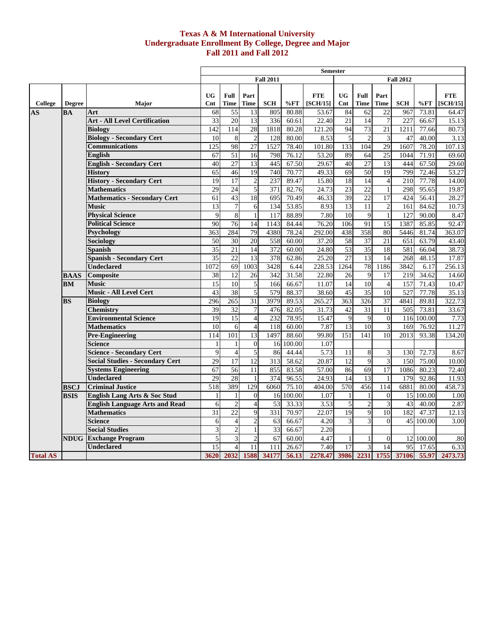#### **Texas A & M International University Undergraduate Enrollment By College, Degree and Major Fall 2011 and Fall 2012**

|                 |               |                                        |                 |                  |                 |                  |        | <b>Semester</b>              |                 |                 |                 |                  |           |            |
|-----------------|---------------|----------------------------------------|-----------------|------------------|-----------------|------------------|--------|------------------------------|-----------------|-----------------|-----------------|------------------|-----------|------------|
|                 |               |                                        |                 |                  |                 | <b>Fall 2011</b> |        |                              |                 |                 |                 | <b>Fall 2012</b> |           |            |
|                 |               |                                        |                 |                  |                 |                  |        |                              |                 |                 |                 |                  |           |            |
|                 |               |                                        | <b>UG</b>       | Full             | Part            |                  |        | <b>FTE</b>                   | <b>UG</b>       | Full            | Part            |                  |           | <b>FTE</b> |
| College         | <b>Degree</b> | Major                                  | Cnt             | Time             | <b>Time</b>     | <b>SCH</b>       | %FT    | [SCH/15]                     | Cnt             | <b>Time</b>     | Time            | <b>SCH</b>       | %FT       | [SCH/15]   |
| AS              | BA            | Art                                    | 68              | 55               | 13              | 805              | 80.88  | 53.67                        | 84              | 62              | 22              | 967              | 73.81     | 64.47      |
|                 |               | <b>Art - All Level Certification</b>   | 33              | 20               | 13              | 336              | 60.61  | 22.40                        | 21              | 14              | 7               | 227              | 66.67     | 15.13      |
|                 |               | <b>Biology</b>                         | 142             | 114              | 28              | 1818             | 80.28  | 121.20                       | 94              | 73              | 21              | 1211             | 77.66     | 80.73      |
|                 |               | <b>Biology - Secondary Cert</b>        | 10              | 8                | $\overline{2}$  | 128              | 80.00  | 8.53                         | 5               | $\overline{c}$  | 3               | 47               | 40.00     | 3.13       |
|                 |               | <b>Communications</b>                  | 125             | 98               | 27              | 1527             | 78.40  | 101.80                       | 133             | 104             | 29              | 1607             | 78.20     | 107.13     |
|                 |               | English                                | 67              | 51               | 16              | 798              | 76.12  | 53.20                        | 89              | 64              | $\overline{25}$ | 1044             | 71.91     | 69.60      |
|                 |               | <b>English - Secondary Cert</b>        | 40              | 27               | 13              | 445              | 67.50  | 29.67                        | 40              | $\overline{27}$ | 13              | 444              | 67.50     | 29.60      |
|                 |               | <b>History</b>                         | 65              | 46               | 19              | 740              | 70.77  | 49.33                        | 69              | 50              | 19              | 799              | 72.46     | 53.27      |
|                 |               | <b>History - Secondary Cert</b>        | 19              | 17               | $\overline{2}$  | 237              | 89.47  | 15.80                        | 18              | 14              | $\overline{4}$  | 210              | 77.78     | 14.00      |
|                 |               | <b>Mathematics</b>                     | 29              | 24               | 5               | 371              | 82.76  | 24.73                        | 23              | $\overline{22}$ | $\mathbf{1}$    | 298              | 95.65     | 19.87      |
|                 |               | <b>Mathematics - Secondary Cert</b>    | 61              | 43               | 18              | 695              | 70.49  | $\overline{46.33}$           | 39              | 22              | 17              | 424              | 56.41     | 28.27      |
|                 |               | <b>Music</b>                           | 13              | $\boldsymbol{7}$ | 6               | 134              | 53.85  | 8.93                         | $\overline{13}$ | 11              | $\sqrt{2}$      | 161              | 84.62     | 10.73      |
|                 |               | <b>Physical Science</b>                | $\mathbf Q$     | $\overline{8}$   | $\mathbf{1}$    | 117              | 88.89  | 7.80                         | 10              | 9               | $\mathbf{1}$    | 127              | 90.00     | 8.47       |
|                 |               | <b>Political Science</b>               | 90              | 76               | $\overline{14}$ | 1143             | 84.44  | 76.20                        | 106             | 91              | $\overline{15}$ | 1387             | 85.85     | 92.47      |
|                 |               | <b>Psychology</b>                      | 363             | 284              | 79              | 4380             | 78.24  | 292.00                       | 438             | 358             | 80              | 5446             | 81.74     | 363.07     |
|                 |               | Sociology                              | 50              | 30               | 20              | 558              | 60.00  | 37.20                        | 58              | 37              | $\overline{21}$ | 651              | 63.79     | 43.40      |
|                 |               | <b>Spanish</b>                         | 35              | 21               | 14              | 372              | 60.00  | 24.80                        | 53              | $\overline{35}$ | 18              | 581              | 66.04     | 38.73      |
|                 |               | <b>Spanish - Secondary Cert</b>        | $\overline{35}$ | $\overline{22}$  | 13              | 378              | 62.86  | 25.20                        | $\overline{27}$ | $\overline{13}$ | 14              | 268              | 48.15     | 17.87      |
|                 |               | <b>Undeclared</b>                      | 1072            | 69               | 1003            | 3428             | 6.44   | 228.53                       | 1264            | 78              | 1186            | 3842             | 6.17      | 256.13     |
|                 | <b>BAAS</b>   | Composite                              | 38              | 12               | 26              | 342              | 31.58  | 22.80                        | $\overline{26}$ | 9               | 17              | 219              | 34.62     | 14.60      |
|                 | <b>BM</b>     | <b>Music</b>                           | 15              | 10               | 5               | 166              | 66.67  | 11.07                        | 14              | 10              | $\overline{4}$  | 157              | 71.43     | 10.47      |
|                 |               | Music - All Level Cert                 | 43              | 38               | 5               | 579              | 88.37  | 38.60                        | 45              | $\overline{35}$ | 10              | 527              | 77.78     | 35.13      |
|                 | <b>BS</b>     | <b>Biology</b>                         | 296             | 265              | $\overline{31}$ | 3979             | 89.53  | 265.27                       | 363             | 326             | $\overline{37}$ | 4841             | 89.81     | 322.73     |
|                 |               | <b>Chemistry</b>                       | 39              | 32               | $\overline{7}$  | 476              | 82.05  | 31.73                        | 42              | 31              | 11              | 505              | 73.81     | 33.67      |
|                 |               | <b>Environmental Science</b>           | 19              | 15               | $\overline{4}$  | 232              | 78.95  | 15.47                        | 9               | 9               | $\Omega$        | 116              | 100.00    | 7.73       |
|                 |               | <b>Mathematics</b>                     | 10              | 6                | $\overline{4}$  | 118              | 60.00  | 7.87                         | 13              | 10              | 3               | 169              | 76.92     | 11.27      |
|                 |               | <b>Pre-Engineering</b>                 | 114             | 101              | 13              | 1497             | 88.60  | 99.80                        | 151             | 141             | 10              | 2013             | 93.38     | 134.20     |
|                 |               | <b>Science</b>                         | $\overline{1}$  | $\mathbf{1}$     | $\Omega$        | 16               | 100.00 | 1.07                         |                 |                 |                 |                  |           |            |
|                 |               | <b>Science - Secondary Cert</b>        | 9               | $\overline{4}$   | 5               | 86               | 44.44  | 5.73                         | 11              | 8               | 3               | 130              | 72.73     | 8.67       |
|                 |               | <b>Social Studies - Secondary Cert</b> | 29              | 17               | 12              | 313              | 58.62  | 20.87                        | 12              | $\mathbf{Q}$    | $\mathfrak{Z}$  | 150              | 75.00     | 10.00      |
|                 |               | <b>Systems Engineering</b>             | 67              | 56               | 11              | 855              | 83.58  | 57.00                        | 86              | 69              | $\overline{17}$ | 1086             | 80.23     | 72.40      |
|                 |               | <b>Undeclared</b>                      | 29              | 28               | $\mathbf{1}$    | 374              | 96.55  | 24.93                        | 14              | 13              | 1               | 179              | 92.86     | 11.93      |
|                 | <b>BSCJ</b>   | <b>Criminal Justice</b>                | $\frac{1}{518}$ | 389              | 129             | 6060             | 75.10  | 404.00                       | 570             | 456             | 114             | 6881             | 80.00     | 458.73     |
|                 | <b>BSIS</b>   | English Lang Arts & Soc Stud           | 1               | -1               | $\mathbf{0}$    | 16               | 100.00 | 1.07                         |                 | 1               | $\mathbf{0}$    | 15               | 100.00    | 1.00       |
|                 |               | <b>English Language Arts and Read</b>  | 6               | $\overline{2}$   | $\overline{4}$  | 53               | 33.33  | 3.53                         | 5               | $\overline{2}$  | 3               | 43               | 40.00     | 2.87       |
|                 |               | <b>Mathematics</b>                     | 31              | $\overline{22}$  | 9               | 331              | 70.97  | 22.07                        | 19              | 9               | 10              | 182              | 47.37     | 12.13      |
|                 |               | <b>Science</b>                         | 6               | $\overline{4}$   | $\overline{2}$  | 63               | 66.67  | 4.20                         | 3               | 3               | $\Omega$        |                  | 45 100.00 | 3.00       |
|                 |               | <b>Social Studies</b>                  | 3               | $\overline{c}$   | $\mathbf{1}$    | 33               | 66.67  | 2.20                         |                 |                 |                 |                  |           |            |
|                 |               | <b>NDUG</b> Exchange Program           | 5               | $\overline{3}$   | $\overline{c}$  | 67               | 60.00  | 4.47                         |                 | $\mathbf{1}$    | $\Omega$        |                  | 12 100.00 | .80        |
|                 |               | <b>Undeclared</b>                      | 15              | $\overline{4}$   | 11              | 111              | 26.67  | 7.40                         | 17              | 3               | 14              | 95               | 17.65     | 6.33       |
| <b>Total AS</b> |               |                                        | 3620            |                  | 2032 1588       | 34177            | 56.13  | 2278.47 3986 2231 1755 37106 |                 |                 |                 |                  | 55.97     | 2473.73    |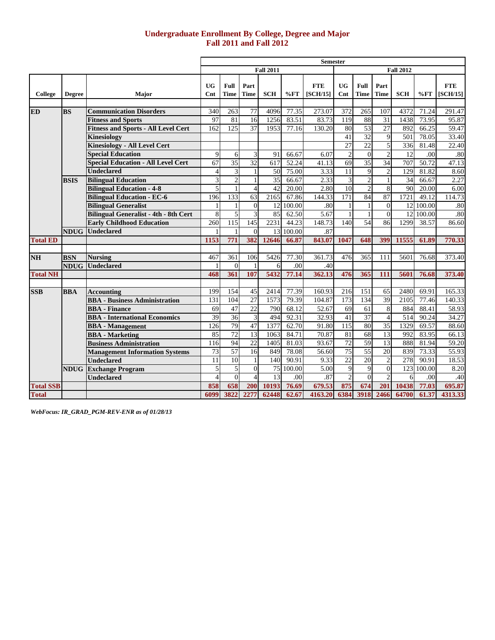## **Undergraduate Enrollment By College, Degree and Major Fall 2011 and Fall 2012**

|                  |               |                                                            |                          |                  |                       |                  |                  | <b>Semester</b>        |                  |                     |                      |                         |                |                        |
|------------------|---------------|------------------------------------------------------------|--------------------------|------------------|-----------------------|------------------|------------------|------------------------|------------------|---------------------|----------------------|-------------------------|----------------|------------------------|
|                  |               |                                                            |                          |                  |                       | <b>Fall 2011</b> |                  |                        |                  |                     |                      | <b>Fall 2012</b>        |                |                        |
|                  |               |                                                            |                          |                  |                       |                  |                  |                        |                  |                     |                      |                         |                |                        |
| College          |               |                                                            | UG                       | Full<br>Time     | Part<br><b>Time</b>   | <b>SCH</b>       | %FT              | <b>FTE</b><br>[SCH/15] | UG<br>Cnt        | Full<br><b>Time</b> | Part<br>Time         | <b>SCH</b>              | %FT            | <b>FTE</b><br>[SCH/15] |
|                  | <b>Degree</b> | <b>Major</b>                                               | Cnt                      |                  |                       |                  |                  |                        |                  |                     |                      |                         |                |                        |
| <b>ED</b>        | <b>BS</b>     | <b>Communication Disorders</b>                             | 340                      | 263              | 77                    | 4096             | 77.35            | 273.07                 | 372              | 265                 | 107                  | 4372                    | 71.24          | 291.47                 |
|                  |               | <b>Fitness and Sports</b>                                  | 97                       | 81               | 16                    | 1256             | 83.51            | 83.73                  | 119              | 88                  | 31                   | 1438                    | 73.95          | 95.87                  |
|                  |               | <b>Fitness and Sports - All Level Cert</b>                 | 162                      | 125              | 37                    | 1953             | 77.16            | 130.20                 | 80               | 53                  | 27                   | 892                     | 66.25          | 59.47                  |
|                  |               | Kinesiology                                                |                          |                  |                       |                  |                  |                        | 41               | 32                  | 9                    | 501                     | 78.05          | 33.40                  |
|                  |               | <b>Kinesiology - All Level Cert</b>                        |                          |                  |                       |                  |                  |                        | 27               | 22                  | 5                    | 336                     | 81.48          | 22.40                  |
|                  |               | <b>Special Education</b>                                   | $\mathbf{Q}$             | 6                | 3                     | 91               | 66.67            | 6.07                   | $\overline{2}$   | $\overline{0}$      | $\overline{2}$       | $\overline{12}$         | .00            | .80                    |
|                  |               | <b>Special Education - All Level Cert</b>                  | 67                       | 35               | 32                    | 617              | 52.24            | 41.13                  | 69               | 35                  | 34                   | 707                     | 50.72          | 47.13                  |
|                  |               | <b>Undeclared</b>                                          | $\overline{4}$           | 3                | $\mathbf{1}$          | 50               | 75.00            | 3.33                   | $\overline{11}$  | 9                   | $\overline{2}$       | 129                     | 81.82          | 8.60                   |
|                  | <b>BSIS</b>   | <b>Bilingual Education</b>                                 | 3                        | $\overline{2}$   | $\mathbf{1}$          | 35               | 66.67            | 2.33                   | 3                | $\mathbf{2}$        | $\mathbf{1}$         | 34                      | 66.67          | 2.27                   |
|                  |               | <b>Bilingual Education - 4-8</b>                           | $\overline{\phantom{a}}$ | $\mathbf{1}$     | $\overline{4}$        | 42               | 20.00            | 2.80                   | 10               | $\overline{c}$      | 8                    | 90                      | 20.00          | 6.00                   |
|                  |               | <b>Bilingual Education - EC-6</b>                          | 196                      | 133              | 63                    | 2165             | 67.86            | 144.33                 | 171              | 84                  | 87                   | 1721                    | 49.12          | 114.73                 |
|                  |               | <b>Bilingual Generalist</b>                                | 1                        | $\mathbf{1}$     | $\Omega$              | 12               | 100.00           | .80                    | 1                | $\mathbf{1}$        | $\theta$             |                         | 12 100.00      | .80                    |
|                  |               | <b>Bilingual Generalist - 4th - 8th Cert</b>               | 8                        | 5                | 3                     | 85               | 62.50            | 5.67                   | $\mathbf{1}$     | $\mathbf{1}$        | $\overline{0}$       | 12                      | 100.00         | .80                    |
|                  |               | <b>Early Childhood Education</b>                           | 260                      | $\overline{115}$ | 145                   | 2231             | 44.23            | 148.73                 | 140              | $\overline{54}$     | 86                   | 1299                    | 38.57          | 86.60                  |
|                  | <b>NDUG</b>   | <b>Undeclared</b>                                          |                          |                  | $\Omega$              | 13               | 100.00           | .87                    |                  |                     |                      |                         |                |                        |
| <b>Total ED</b>  |               |                                                            | 1153                     | 771              | 382                   | 12646            | 66.87            | 843.07                 | 1047             | 648                 | 399                  | 11555                   | 61.89          | 770.33                 |
|                  |               |                                                            |                          |                  |                       |                  |                  |                        |                  |                     |                      |                         |                |                        |
| <b>NH</b>        | <b>BSN</b>    | <b>Nursing</b>                                             | 467                      | 361              | 106                   | 5426             | 77.30            | 361.73                 | 476              | 365                 | 111                  | 5601                    | 76.68          | 373.40                 |
|                  | <b>NDUG</b>   | Undeclared                                                 |                          | $\Omega$         | $\overline{1}$        | 6                | .00              | .40                    |                  |                     |                      |                         |                |                        |
| <b>Total NH</b>  |               |                                                            | 468                      | 361              | 107                   | 5432             | 77.14            | 362.13                 | 476              | 365                 | 111                  | 5601                    | 76.68          | 373.40                 |
|                  |               |                                                            |                          |                  |                       |                  |                  |                        |                  |                     |                      |                         |                |                        |
| <b>SSB</b>       | <b>BBA</b>    | <b>Accounting</b>                                          | 199                      | 154              | 45                    | 2414             | 77.39            | 160.93                 | 216              | 151                 | 65                   | 2480                    | 69.91          | 165.33                 |
|                  |               | <b>BBA</b> - Business Administration                       | 131                      | 104              | 27                    | 1573             | 79.39            | 104.87                 | 173              | 134                 | 39                   | 2105                    | 77.46          | 140.33                 |
|                  |               | <b>BBA</b> - Finance                                       | 69                       | 47               | 22                    | 790              | 68.12            | 52.67                  | 69               | 61                  | 8                    | 884                     | 88.41          | 58.93                  |
|                  |               | <b>BBA</b> - International Economics                       | 39                       | 36<br>79         | 3                     | 494              | 92.31            | 32.93                  | 41               | 37<br>80            | $\overline{4}$       | $\overline{514}$        | 90.24          | 34.27                  |
|                  |               | <b>BBA</b> - Management                                    | $\overline{126}$         |                  | 47                    | 1377             | 62.70            | 91.80                  | $\overline{115}$ |                     | 35                   | 1329                    | 69.57          | 88.60                  |
|                  |               | <b>BBA</b> - Marketing                                     | 85<br>116                | 72<br>94         | 13<br>$\overline{22}$ | 1063<br>1405     | 84.71            | 70.87<br>93.67         | 81<br>72         | 68<br>59            | 13<br>13             | 992<br>888              | 83.95          | 66.13<br>59.20         |
|                  |               | <b>Business Administration</b>                             |                          |                  |                       |                  | 81.03            |                        | 75               | 55                  |                      |                         | 81.94          |                        |
|                  |               | <b>Management Information Systems</b><br><b>Undeclared</b> | 73<br>11                 | 57<br>10         | 16<br>$\mathbf{1}$    | 849<br>140       | 78.08<br>90.91   | 56.60<br>9.33          | $\overline{22}$  | 20                  | 20<br>$\overline{c}$ | 839<br>$\overline{278}$ | 73.33<br>90.91 | 55.93<br>18.53         |
|                  |               |                                                            | 5                        | 5                | $\Omega$              |                  |                  | 5.00                   | 9                | 9                   | $\overline{0}$       |                         | 123 100.00     |                        |
|                  |               | <b>NDUG</b> Exchange Program<br><b>Undeclared</b>          | $\overline{4}$           | $\theta$         | $\boldsymbol{\Delta}$ | 13               | 75 100.00<br>.00 | .87                    | $\overline{c}$   | $\Omega$            | $\overline{c}$       | 6                       | .00            | 8.20                   |
| <b>Total SSB</b> |               |                                                            | 858                      | 658              | 200                   | 10193            | 76.69            | 679.53                 | 875              | 674                 | 201                  | 10438                   | 77.03          | .40<br>695.87          |
| <b>Total</b>     |               |                                                            | 6099                     | 3822             | 2277                  | 62448            | 62.67            | 4163.20                | 6384             | 3918                | 2466                 | 64700                   | 61.37          |                        |
|                  |               |                                                            |                          |                  |                       |                  |                  |                        |                  |                     |                      |                         |                | 4313.33                |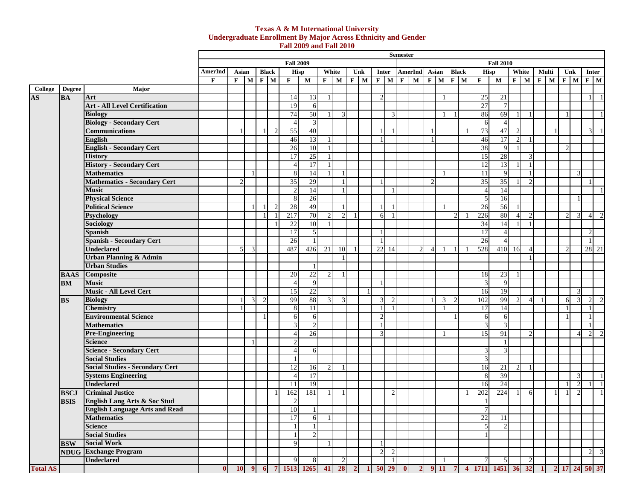#### **Texas A & M International University Undergraduate Enrollment By Major Across Ethnicity and Gender Fall 2009 and Fall 2010**

|                                   |               |                                        |              |       |                         |              |              |                                                                                 |                |                |                |         |                |                | <b>Semester</b> |                |                |                |                |                 |                       |                |                          |              |   |             |                |                |                             |
|-----------------------------------|---------------|----------------------------------------|--------------|-------|-------------------------|--------------|--------------|---------------------------------------------------------------------------------|----------------|----------------|----------------|---------|----------------|----------------|-----------------|----------------|----------------|----------------|----------------|-----------------|-----------------------|----------------|--------------------------|--------------|---|-------------|----------------|----------------|-----------------------------|
|                                   |               |                                        |              |       |                         |              |              | <b>Fall 2009</b>                                                                |                |                |                |         |                |                |                 |                |                |                |                |                 | <b>Fall 2010</b>      |                |                          |              |   |             |                |                |                             |
|                                   |               |                                        | AmerInd      | Asian |                         | <b>Black</b> |              | <b>Hisp</b>                                                                     |                |                | White          | Unk     |                | Inter          |                 | <b>AmerInd</b> | Asian          |                | <b>Black</b>   | <b>Hisp</b>     |                       |                | White                    | Multi        |   | Unk         |                | <b>Inter</b>   |                             |
|                                   |               |                                        | F            | F     | M                       | $\mathbf{F}$ | $\mathbf{M}$ | F                                                                               | $\mathbf{M}$   | $\mathbf{F}$   | M              | $F$   M | $\mathbf F$    | $\mathbf{M}$   | $\mathbf{F}$    | $\mathbf M$    | $F$ M          |                | $F$ M          | F               | $\mathbf M$           |                | $F$ M                    | $\mathbf{F}$ | M | $\mathbf F$ | $\mathbf{M}$   | $F$ M          |                             |
| College                           | <b>Degree</b> | Major                                  |              |       |                         |              |              |                                                                                 |                |                |                |         |                |                |                 |                |                |                |                |                 |                       |                |                          |              |   |             |                |                |                             |
| $\overline{\mathbf{A}}\mathbf{S}$ | <b>BA</b>     | Art                                    |              |       |                         |              |              | 14                                                                              | 13             |                |                |         | $\mathfrak{D}$ |                |                 |                |                |                |                | $\overline{25}$ | 21                    |                |                          |              |   |             |                |                | $\overline{1}$              |
|                                   |               | <b>Art - All Level Certification</b>   |              |       |                         |              |              | 19                                                                              | 6              |                |                |         |                |                |                 |                |                |                |                | 27              | $\overline{7}$        |                |                          |              |   |             |                |                |                             |
|                                   |               | <b>Biology</b>                         |              |       |                         |              |              | 74                                                                              | 50             |                | $\mathcal{R}$  |         |                |                |                 |                |                |                |                | 86              | 69                    |                | $\overline{1}$           |              |   |             |                |                | $\overline{1}$              |
|                                   |               | <b>Biology - Secondary Cert</b>        |              |       |                         |              |              | $\overline{4}$                                                                  | 3              |                |                |         |                |                |                 |                |                |                |                | 6               | $\boldsymbol{\Delta}$ |                |                          |              |   |             |                |                |                             |
|                                   |               | <b>Communications</b>                  |              |       |                         |              |              | 55                                                                              | 40             |                |                |         |                |                |                 |                | $\overline{1}$ |                |                | 73              | 47                    | $\overline{2}$ |                          |              |   |             |                | $\overline{3}$ | $\overline{1}$              |
|                                   |               | English                                |              |       |                         |              |              | 46                                                                              | 13             |                |                |         |                |                |                 |                | $\overline{1}$ |                |                | 46              | 17                    | 2              |                          |              |   |             |                |                |                             |
|                                   |               | <b>English - Secondary Cert</b>        |              |       |                         |              |              | 26                                                                              | 10             | $\mathbf{1}$   |                |         |                |                |                 |                |                |                |                | 38              | 9                     | $\mathbf{1}$   |                          |              |   |             |                |                |                             |
|                                   |               | <b>History</b>                         |              |       |                         |              |              | 17                                                                              | 25             |                |                |         |                |                |                 |                |                |                |                | 15              | 28                    |                | 3                        |              |   |             |                |                |                             |
|                                   |               | <b>History - Secondary Cert</b>        |              |       |                         |              |              | $\overline{4}$                                                                  | 17             | $\mathbf{1}$   |                |         |                |                |                 |                |                |                |                | 12              | 13                    |                | $\mathbf{1}$             |              |   |             |                |                |                             |
|                                   |               | <b>Mathematics</b>                     |              |       |                         |              |              | 8                                                                               | 14             | $\mathbf{1}$   |                |         |                |                |                 |                |                |                |                | 11              | $\mathbf{Q}$          |                | $\overline{1}$           |              |   |             | $\mathcal{R}$  |                |                             |
|                                   |               | <b>Mathematics - Secondary Cert</b>    |              |       |                         |              |              | 35                                                                              | 29             |                |                |         |                |                |                 |                | $\overline{2}$ |                |                | 35              | 35                    |                | $\mathcal{P}$            |              |   |             |                |                |                             |
|                                   |               | <b>Music</b>                           |              |       |                         |              |              |                                                                                 | 14             |                | $\mathbf{1}$   |         |                |                |                 |                |                |                |                |                 | 14                    |                |                          |              |   |             |                |                | $\overline{1}$              |
|                                   |               | <b>Physical Science</b>                |              |       |                         |              |              | 8                                                                               | 26             |                |                |         |                |                |                 |                |                |                |                | 5               | 16                    |                |                          |              |   |             |                |                |                             |
|                                   |               | <b>Political Science</b>               |              |       |                         |              |              | 28                                                                              | 49             |                |                |         |                |                |                 |                |                |                |                | $\overline{26}$ | 56                    | $\overline{1}$ |                          |              |   |             |                |                |                             |
|                                   |               | <b>Psychology</b>                      |              |       |                         |              |              | 217                                                                             | 70             | $\mathfrak{D}$ | $\overline{2}$ |         | 6 <sup>l</sup> |                |                 |                |                |                | $\mathfrak{D}$ | 226             | 80                    | $\overline{4}$ | $\mathcal{P}$            |              |   |             | 3              | $\overline{4}$ | 2                           |
|                                   |               | Sociology                              |              |       |                         |              |              | 22                                                                              | 10             | $\mathbf{1}$   |                |         |                |                |                 |                |                |                |                | 34              | 14                    | $\mathbf{1}$   | $\overline{1}$           |              |   |             |                |                |                             |
|                                   |               | <b>Spanish</b>                         |              |       |                         |              |              | 17                                                                              | 5              |                |                |         |                |                |                 |                |                |                |                | 17              | $\overline{4}$        |                |                          |              |   |             |                |                |                             |
|                                   |               | <b>Spanish - Secondary Cert</b>        |              |       |                         |              |              | 26                                                                              |                |                |                |         |                |                |                 |                |                |                |                | 26              |                       |                |                          |              |   |             |                | $\overline{1}$ |                             |
|                                   |               | <b>Undeclared</b>                      |              | 5     | $\overline{\mathbf{a}}$ |              |              | 487                                                                             | 426            | 21             | 10             |         | 22             | -14            |                 | $\overline{2}$ | $\overline{4}$ |                |                | 528             | 410                   | 16             | $\boldsymbol{\varDelta}$ |              |   |             |                | 28 21          |                             |
|                                   |               | <b>Urban Planning &amp; Admin</b>      |              |       |                         |              |              |                                                                                 |                |                |                |         |                |                |                 |                |                |                |                |                 |                       |                | $\overline{1}$           |              |   |             |                |                |                             |
|                                   |               | <b>Urban Studies</b>                   |              |       |                         |              |              |                                                                                 |                |                |                |         |                |                |                 |                |                |                |                |                 |                       |                |                          |              |   |             |                |                |                             |
|                                   |               | <b>BAAS</b> Composite                  |              |       |                         |              |              | 20                                                                              | 22             | $\overline{2}$ |                |         |                |                |                 |                |                |                |                | 18              | 23                    |                |                          |              |   |             |                |                |                             |
|                                   | <b>BM</b>     | <b>Music</b>                           |              |       |                         |              |              | $\overline{4}$                                                                  | 9              |                |                |         |                |                |                 |                |                |                |                | 3               | 9                     |                |                          |              |   |             |                |                |                             |
|                                   |               | <b>Music - All Level Cert</b>          |              |       |                         |              |              | 15                                                                              | 22             |                |                |         |                |                |                 |                |                |                |                | 16              | 19                    |                |                          |              |   |             | $\overline{3}$ |                |                             |
|                                   | <b>BS</b>     | <b>Biology</b>                         |              |       | $\mathcal{R}$           | 2            |              | 99                                                                              | 88             | 3              | $\overline{3}$ |         | 3              |                |                 |                |                | $\mathcal{E}$  | $\mathfrak{D}$ | 102             | 99                    | $\overline{2}$ | $\boldsymbol{\varDelta}$ |              |   | 6           | 3              |                | $\mathcal{D}_{\mathcal{L}}$ |
|                                   |               | <b>Chemistry</b>                       |              |       |                         |              |              | 8                                                                               | 11             |                |                |         |                |                |                 |                |                |                |                | 17              | 14                    |                |                          |              |   |             |                |                |                             |
|                                   |               | <b>Environmental Science</b>           |              |       |                         |              |              | 6                                                                               | 6              |                |                |         | $\mathfrak{D}$ |                |                 |                |                |                |                | 6               | 6                     |                |                          |              |   |             |                |                |                             |
|                                   |               | <b>Mathematics</b>                     |              |       |                         |              |              | $\mathcal{R}$                                                                   | 2              |                |                |         |                |                |                 |                |                |                |                | 3               | $\mathbf{R}$          |                |                          |              |   |             |                |                |                             |
|                                   |               | <b>Pre-Engineering</b>                 |              |       |                         |              |              | $\overline{A}$                                                                  | 26             |                |                |         | 3              |                |                 |                |                |                |                | 15              | 91                    |                |                          |              |   |             | $\overline{4}$ | $\mathfrak{D}$ |                             |
|                                   |               | <b>Science</b>                         |              |       |                         |              |              | $\mathcal{D}$                                                                   |                |                |                |         |                |                |                 |                |                |                |                |                 |                       |                |                          |              |   |             |                |                |                             |
|                                   |               | <b>Science - Secondary Cert</b>        |              |       |                         |              |              | $\overline{4}$                                                                  | 6              |                |                |         |                |                |                 |                |                |                |                | $\mathbf{3}$    | $\mathcal{R}$         |                |                          |              |   |             |                |                |                             |
|                                   |               | <b>Social Studies</b>                  |              |       |                         |              |              | $\overline{1}$                                                                  |                |                |                |         |                |                |                 |                |                |                |                | $\mathcal{R}$   |                       |                |                          |              |   |             |                |                |                             |
|                                   |               | <b>Social Studies - Secondary Cert</b> |              |       |                         |              |              | 12                                                                              | 16             | $\mathfrak{D}$ |                |         |                |                |                 |                |                |                |                | 16              | 21                    | $\overline{c}$ | $\overline{1}$           |              |   |             |                |                |                             |
|                                   |               | <b>Systems Engineering</b>             |              |       |                         |              |              | $\overline{4}$                                                                  | 17             |                |                |         |                |                |                 |                |                |                |                | 8               | 39                    |                |                          |              |   |             | 3              |                | $\overline{1}$              |
|                                   |               | <b>Undeclared</b>                      |              |       |                         |              |              | 11                                                                              | 19             |                |                |         |                |                |                 |                |                |                |                | 16              | $\overline{24}$       |                |                          |              |   |             | 2              |                | $\overline{1}$              |
|                                   | <b>BSCJ</b>   | <b>Criminal Justice</b>                |              |       |                         |              |              | 162                                                                             | 181            |                |                |         |                | $\mathcal{D}$  |                 |                |                |                |                | 202             | 224                   |                | 6                        |              |   |             | $\mathcal{D}$  |                | $\overline{1}$              |
|                                   | <b>BSIS</b>   | English Lang Arts & Soc Stud           |              |       |                         |              |              | $\overline{c}$                                                                  |                |                |                |         |                |                |                 |                |                |                |                | $\mathbf{1}$    |                       |                |                          |              |   |             |                |                |                             |
|                                   |               | <b>English Language Arts and Read</b>  |              |       |                         |              |              | 10                                                                              | $\overline{1}$ |                |                |         |                |                |                 |                |                |                |                | $\overline{7}$  |                       |                |                          |              |   |             |                |                |                             |
|                                   |               | <b>Mathematics</b>                     |              |       |                         |              |              | 17                                                                              | 6              |                |                |         |                |                |                 |                |                |                |                | 22              | 11                    |                |                          |              |   |             |                |                |                             |
|                                   |               | <b>Science</b>                         |              |       |                         |              |              |                                                                                 | $\mathbf{1}$   |                |                |         |                |                |                 |                |                |                |                | $\overline{5}$  |                       |                |                          |              |   |             |                |                |                             |
|                                   |               | <b>Social Studies</b>                  |              |       |                         |              |              |                                                                                 | $\overline{2}$ |                |                |         |                |                |                 |                |                |                |                |                 |                       |                |                          |              |   |             |                |                |                             |
|                                   | <b>BSW</b>    | <b>Social Work</b>                     |              |       |                         |              |              | $\mathbf Q$                                                                     |                |                |                |         |                |                |                 |                |                |                |                |                 |                       |                |                          |              |   |             |                |                |                             |
|                                   |               | <b>NDUG</b> Exchange Program           |              |       |                         |              |              |                                                                                 |                |                |                |         | $\overline{2}$ | $\mathcal{P}$  |                 |                |                |                |                |                 |                       |                |                          |              |   |             |                | $\overline{2}$ | $\mathcal{E}$               |
|                                   |               | <b>Undeclared</b>                      |              |       |                         |              |              | 9                                                                               | 8              |                | $\overline{c}$ |         |                | $\overline{1}$ |                 |                |                | $\overline{1}$ |                | $\overline{7}$  | 5                     |                | $\overline{c}$           |              |   |             |                |                |                             |
| <b>Total AS</b>                   |               |                                        | $\mathbf{0}$ |       |                         |              |              | 10 9 6 7 1513 1265 41 28 2 1 50 29 0 2 9 11 7 4 1711 1451 36 32 1 2 17 24 50 37 |                |                |                |         |                |                |                 |                |                |                |                |                 |                       |                |                          |              |   |             |                |                |                             |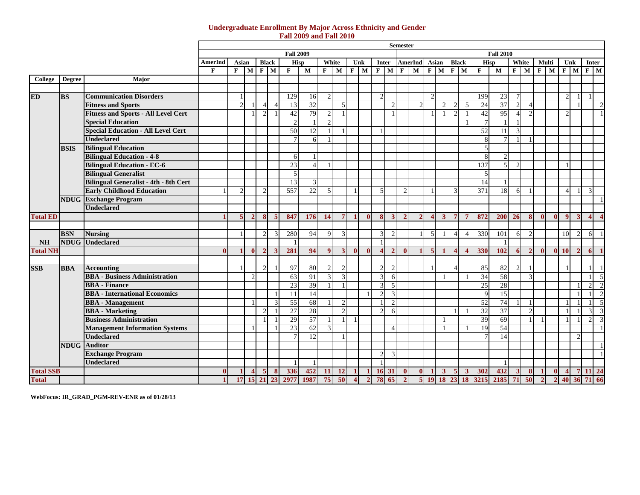#### **Undergraduate Enrollment By Major Across Ethnicity and Gender Fall 2009 and Fall 2010**

|                  |               |                                              |                |               |               |                       |                |                  |                         |                          |                         |                |              |                         |                          | Semester      |               |                |             |                        |                |              |                  |                  |                          |               |              |                |                |                       |                |
|------------------|---------------|----------------------------------------------|----------------|---------------|---------------|-----------------------|----------------|------------------|-------------------------|--------------------------|-------------------------|----------------|--------------|-------------------------|--------------------------|---------------|---------------|----------------|-------------|------------------------|----------------|--------------|------------------|------------------|--------------------------|---------------|--------------|----------------|----------------|-----------------------|----------------|
|                  |               |                                              |                |               |               |                       |                | <b>Fall 2009</b> |                         |                          |                         |                |              |                         |                          |               |               |                |             |                        |                |              | <b>Fall 2010</b> |                  |                          |               |              |                |                |                       |                |
|                  |               |                                              | <b>AmerInd</b> | Asian         |               | <b>Black</b>          |                | <b>Hisp</b>      |                         | White                    |                         | Unk            |              | Inter                   |                          |               | AmerInd Asian |                |             | <b>Black</b>           |                | <b>Hisp</b>  |                  | White            |                          | Multi         |              | Unk            |                | <b>Inter</b>          |                |
|                  |               |                                              | $\mathbf{F}$   | $F$ M         |               | F M                   |                | $\mathbf{F}$     | $\overline{\mathbf{M}}$ |                          | $F$ M                   | $F$ M          |              | $F$ M $F$ M             |                          |               |               |                | $F$ M $F$ M |                        |                | $\mathbf{F}$ | $\mathbf{M}$     |                  | $F$ M                    | $F$ M         |              | $F$ M          |                | $F$ M                 |                |
| College          | <b>Degree</b> | Major                                        |                |               |               |                       |                |                  |                         |                          |                         |                |              |                         |                          |               |               |                |             |                        |                |              |                  |                  |                          |               |              |                |                |                       |                |
|                  |               |                                              |                |               |               |                       |                |                  |                         |                          |                         |                |              |                         |                          |               |               |                |             |                        |                |              |                  |                  |                          |               |              |                |                |                       |                |
| <b>ED</b>        | <b>BS</b>     | <b>Communication Disorders</b>               |                |               |               |                       |                | 129              | 16                      | $\mathcal{D}$            |                         |                |              | $\mathcal{D}$           |                          |               |               | $\mathcal{D}$  |             |                        |                | 199          | 23               |                  |                          |               |              | C              |                |                       |                |
|                  |               | <b>Fitness and Sports</b>                    |                | $\mathcal{D}$ |               | $\Lambda$             | $\Delta$       | 13               | 32                      |                          | $\overline{\mathbf{a}}$ |                |              |                         | $\mathcal{D}_{\alpha}$   |               | $\mathcal{L}$ |                |             | $\mathcal{D}$          | $\overline{5}$ | 24           | $\overline{37}$  | $\mathcal{L}$    | $\boldsymbol{\varDelta}$ |               |              |                |                |                       | $\overline{c}$ |
|                  |               | <b>Fitness and Sports - All Level Cert</b>   |                |               |               | $\mathfrak{D}$        |                | 42               | 79                      | $\mathfrak{D}$           |                         |                |              |                         | 1                        |               |               |                |             |                        |                | 42           | 95               |                  | $\overline{2}$           |               |              | C              |                |                       |                |
|                  |               | <b>Special Education</b>                     |                |               |               |                       |                | $\mathcal{P}$    |                         | $\mathcal{D}$            |                         |                |              |                         |                          |               |               |                |             |                        |                |              |                  |                  |                          |               |              |                |                |                       |                |
|                  |               | <b>Special Education - All Level Cert</b>    |                |               |               |                       |                | 50               | 12                      |                          |                         |                |              |                         |                          |               |               |                |             |                        |                | 52           | 11               | $\mathcal{R}$    |                          |               |              |                |                |                       |                |
|                  |               | <b>Undeclared</b>                            |                |               |               |                       |                |                  | 6                       |                          |                         |                |              |                         |                          |               |               |                |             |                        |                |              |                  |                  |                          |               |              |                |                |                       |                |
|                  | <b>BSIS</b>   | <b>Bilingual Education</b>                   |                |               |               |                       |                |                  |                         |                          |                         |                |              |                         |                          |               |               |                |             |                        |                |              |                  |                  |                          |               |              |                |                |                       |                |
|                  |               | <b>Bilingual Education - 4-8</b>             |                |               |               |                       |                | 6                |                         |                          |                         |                |              |                         |                          |               |               |                |             |                        |                |              | $\mathfrak{D}$   |                  |                          |               |              |                |                |                       |                |
|                  |               | <b>Bilingual Education - EC-6</b>            |                |               |               |                       |                | 23               | $\Delta$                |                          |                         |                |              |                         |                          |               |               |                |             |                        |                | 137          | 5                | $\mathcal{D}$    |                          |               |              |                |                |                       |                |
|                  |               | <b>Bilingual Generalist</b>                  |                |               |               |                       |                | $\overline{5}$   |                         |                          |                         |                |              |                         |                          |               |               |                |             |                        |                | 5            |                  |                  |                          |               |              |                |                |                       |                |
|                  |               | <b>Bilingual Generalist - 4th - 8th Cert</b> |                |               |               |                       |                | 13               | 3                       |                          |                         |                |              |                         |                          |               |               |                |             |                        |                | 14           | - 1              |                  |                          |               |              |                |                |                       |                |
|                  |               | <b>Early Childhood Education</b>             |                | $\mathcal{D}$ |               | $\mathcal{D}$         |                | 557              | 22                      | $\overline{\mathcal{L}}$ |                         |                |              | $\overline{5}$          |                          | $\mathcal{D}$ |               |                |             | $\mathcal{R}$          |                | 371          | 18               | $6 \blacksquare$ | $\overline{1}$           |               |              | $\Delta$       |                | 3                     |                |
|                  |               | <b>NDUG</b> Exchange Program                 |                |               |               |                       |                |                  |                         |                          |                         |                |              |                         |                          |               |               |                |             |                        |                |              |                  |                  |                          |               |              |                |                |                       |                |
|                  |               | <b>Undeclared</b>                            |                |               |               |                       |                |                  |                         |                          |                         |                |              |                         |                          |               |               |                |             |                        |                |              |                  |                  |                          |               |              |                |                |                       |                |
| <b>Total ED</b>  |               |                                              |                | 5             | $\mathcal{P}$ | $\mathbf{\mathbf{8}}$ | $\overline{5}$ | 847              | 176                     | 14                       | 7 <sup>1</sup>          | $\blacksquare$ | $\mathbf{0}$ | 8                       | $\overline{3}$           | $\mathcal{D}$ | $\mathcal{L}$ |                | 3           | $\overline{7}$         | 7              | 872          | 200              | 26               | 8 <sup>1</sup>           | $\mathbf{0}$  | $\mathbf{0}$ | $\mathbf{Q}$   | $\overline{3}$ | $\boldsymbol{\Delta}$ |                |
|                  |               |                                              |                |               |               |                       |                |                  |                         |                          |                         |                |              |                         |                          |               |               |                |             |                        |                |              |                  |                  |                          |               |              |                |                |                       |                |
|                  | <b>BSN</b>    | <b>Nursing</b>                               |                |               |               | $\mathcal{D}$         | $\mathcal{R}$  | 280              | 94                      | $\mathbf Q$              | $\mathcal{R}$           |                |              | $\mathcal{F}$           | 2                        |               |               | $\overline{5}$ |             | $\overline{A}$         | 4              | 330          | 101              | 6                | $\overline{2}$           |               |              | 10             | $\overline{2}$ | 6                     |                |
| NH               |               | <b>NDUG</b> Undeclared                       |                |               |               |                       |                | $\blacksquare$   |                         |                          |                         |                |              |                         |                          |               |               |                |             |                        |                |              | $\overline{1}$   |                  |                          |               |              |                |                |                       |                |
| <b>Total NH</b>  |               |                                              | 0              |               | $\mathbf{0}$  | $\overline{2}$        | 3              | 281              | 94                      | $\boldsymbol{9}$         | 3                       | $\mathbf{0}$   | $\mathbf{0}$ | $\overline{\mathbf{4}}$ | $\overline{2}$           | $\mathbf{0}$  |               | $\overline{5}$ |             | $\boldsymbol{\Lambda}$ | Δ              | 330          | <b>102</b>       | 6                | $\overline{2}$           | $\mathbf{0}$  |              | $0-10$         | $\overline{2}$ | -6                    |                |
|                  |               |                                              |                |               |               |                       |                |                  |                         |                          |                         |                |              |                         |                          |               |               |                |             |                        |                |              |                  |                  |                          |               |              |                |                |                       |                |
| <b>SSB</b>       | <b>BBA</b>    | <b>Accounting</b>                            |                |               |               | $\mathcal{L}$         |                | 97               | 80                      | C                        |                         |                |              | $\mathcal{L}$           | $\mathcal{D}$            |               |               |                |             |                        |                | 85           | 82               | $\mathcal{D}$    |                          |               |              |                |                |                       |                |
|                  |               | <b>BBA</b> - Business Administration         |                |               | $\mathcal{P}$ |                       |                | 63               | 91                      |                          |                         |                |              | $\mathcal{R}$           | 6                        |               |               |                |             |                        |                | 34           | 58               |                  | $\overline{3}$           |               |              |                |                |                       | $\overline{5}$ |
|                  |               | <b>BBA</b> - Finance                         |                |               |               |                       |                | 23               | 39                      |                          |                         |                |              | $\mathcal{R}$           | $\overline{5}$           |               |               |                |             |                        |                | 25           | 28               |                  |                          |               |              |                |                | $\overline{2}$        | $\overline{2}$ |
|                  |               | <b>BBA</b> - International Economics         |                |               |               |                       |                | 11               | 14                      |                          |                         |                |              | $\gamma$                | 3                        |               |               |                |             |                        |                | 9            | $\overline{15}$  |                  |                          |               |              |                |                |                       | 2              |
|                  |               | <b>BBA</b> - Management                      |                |               |               |                       | 3              | $\overline{55}$  | 68                      |                          | $\mathcal{L}$           |                |              |                         | $\mathfrak{D}$           |               |               |                |             |                        |                | 52           | 74               |                  | $\overline{1}$           |               |              | -1             |                |                       | $\overline{5}$ |
|                  |               | <b>BBA</b> - Marketing                       |                |               |               |                       |                | 27               | 28                      |                          |                         |                |              |                         | 6                        |               |               |                |             |                        |                | 32           | 37               |                  | $\overline{2}$           |               |              |                |                | $\overline{3}$        | $\overline{3}$ |
|                  |               | <b>Business Administration</b>               |                |               |               |                       |                | 29               | 57                      |                          |                         |                |              |                         |                          |               |               |                |             |                        |                | 39           | 69               |                  | $\overline{1}$           |               |              |                |                | $\overline{2}$        | $\overline{3}$ |
|                  |               | <b>Management Information Systems</b>        |                |               |               |                       |                | 23               | 62                      | $\overline{\mathbf{3}}$  |                         |                |              |                         | $\boldsymbol{\varDelta}$ |               |               |                |             |                        |                | 19           | 54               |                  |                          |               |              |                |                |                       |                |
|                  |               | <b>Undeclared</b>                            |                |               |               |                       |                |                  | 12                      |                          |                         |                |              |                         |                          |               |               |                |             |                        |                |              | 14               |                  |                          |               |              |                | $\mathcal{P}$  |                       |                |
|                  |               | <b>NDUG</b> Auditor                          |                |               |               |                       |                |                  |                         |                          |                         |                |              |                         |                          |               |               |                |             |                        |                |              |                  |                  |                          |               |              |                |                |                       |                |
|                  |               | <b>Exchange Program</b>                      |                |               |               |                       |                |                  |                         |                          |                         |                |              | $\mathcal{D}$           | 3                        |               |               |                |             |                        |                |              |                  |                  |                          |               |              |                |                |                       |                |
|                  |               | <b>Undeclared</b>                            |                |               |               |                       |                | -1               |                         |                          |                         |                |              |                         |                          |               |               |                |             |                        |                |              | - 1              |                  |                          |               |              |                |                |                       |                |
| <b>Total SSB</b> |               |                                              | 0              |               |               |                       | 8              | 336              | 452                     | 11                       | <sup>12</sup>           |                |              |                         | 16 31                    | $\mathbf{0}$  | $\mathbf{0}$  |                |             | 5                      |                | 302          | 432              | $\mathbf{3}$     | $\bf8$                   | -1            | $\mathbf{0}$ | $\overline{4}$ |                | -11                   | 24             |
| <b>Total</b>     |               |                                              |                | 17            | 15            | 21                    | 23             | 2977             | 1987                    | 75                       | 50                      |                |              | 78                      | 65                       |               |               |                |             | 23                     | 18             | 3215         | 2185             | 71               | 50                       | $\mathcal{D}$ |              | 40             | 36             |                       | 66             |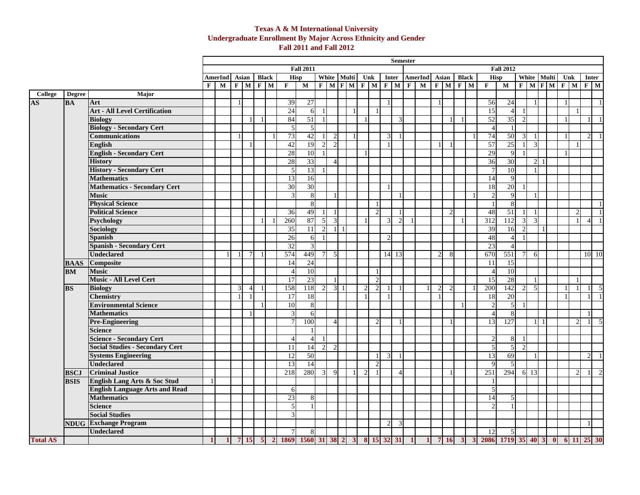### **Texas A & M International University Undergraduate Enrollment By Major Across Ethnicity and Gender Fall 2011 and Fall 2012**

|                 |               |                                        |             |                                                                                                                                                                                                                                     |                |                |            |                |                          |                     |   |                                   |                |                |                |                |                             |                | <b>Semester</b> |                         |                |                |              |                |                  |                                |                |                |            |  |  |                             |                                  |                |
|-----------------|---------------|----------------------------------------|-------------|-------------------------------------------------------------------------------------------------------------------------------------------------------------------------------------------------------------------------------------|----------------|----------------|------------|----------------|--------------------------|---------------------|---|-----------------------------------|----------------|----------------|----------------|----------------|-----------------------------|----------------|-----------------|-------------------------|----------------|----------------|--------------|----------------|------------------|--------------------------------|----------------|----------------|------------|--|--|-----------------------------|----------------------------------|----------------|
|                 |               |                                        |             |                                                                                                                                                                                                                                     |                |                |            |                |                          | <b>Fall 2011</b>    |   |                                   |                |                |                |                |                             |                |                 |                         |                |                |              |                |                  | <b>Fall 2012</b>               |                |                |            |  |  |                             |                                  |                |
|                 |               |                                        |             | White Multi Unk<br><b>Black</b><br>White Multi<br>Asian<br><b>Black</b><br>Hisp<br><b>Inter</b><br><b>AmerInd</b><br>Asian<br>Hisp<br><b>AmerInd</b><br>$F$ M $F$ M $F$ M $F$ M $F$<br>$F$ M<br>$F$ M<br>$F$ M $F$ M $F$ M<br>$F$ M |                |                |            |                |                          |                     |   |                                   |                |                |                |                |                             | Unk            |                 | Inter                   |                |                |              |                |                  |                                |                |                |            |  |  |                             |                                  |                |
|                 |               |                                        | $\mathbf F$ | M                                                                                                                                                                                                                                   |                |                |            | $F$ M          | $\mathbf{F}$             | ${\bf M}$           |   |                                   |                |                |                |                |                             |                |                 | $\overline{\mathbf{M}}$ |                |                |              |                | F                | ${\bf M}$                      |                |                |            |  |  |                             | $F$ M                            |                |
| <b>College</b>  | <b>Degree</b> | Major                                  |             |                                                                                                                                                                                                                                     |                |                |            |                |                          |                     |   |                                   |                |                |                |                |                             |                |                 |                         |                |                |              |                |                  |                                |                |                |            |  |  |                             |                                  |                |
| <b>AS</b>       | <b>BA</b>     | Art                                    |             |                                                                                                                                                                                                                                     | $\mathbf{1}$   |                |            |                | 39                       | 27                  |   |                                   |                |                |                |                |                             |                |                 |                         |                |                |              |                | 56               | 24                             |                |                |            |  |  |                             |                                  | $\overline{1}$ |
|                 |               | <b>Art - All Level Certification</b>   |             |                                                                                                                                                                                                                                     |                |                |            |                | 24                       | 6                   |   |                                   |                |                |                |                |                             |                |                 |                         |                |                |              |                | 15               | $\overline{4}$                 | $\overline{1}$ |                |            |  |  |                             |                                  |                |
|                 |               | <b>Biology</b>                         |             |                                                                                                                                                                                                                                     |                |                |            |                | 84                       | 51                  |   |                                   |                |                |                |                |                             | $\mathcal{R}$  |                 |                         |                |                |              |                | 52               | 35                             | 2              |                |            |  |  |                             | $\overline{1}$                   |                |
|                 |               | <b>Biology - Secondary Cert</b>        |             |                                                                                                                                                                                                                                     |                |                |            |                | 5                        | 5                   |   |                                   |                |                |                |                |                             |                |                 |                         |                |                |              |                | $\overline{4}$   |                                |                |                |            |  |  |                             |                                  |                |
|                 |               | <b>Communications</b>                  |             |                                                                                                                                                                                                                                     |                |                |            |                | 73                       | 42                  |   | $\overline{2}$                    |                | $\overline{1}$ |                |                | $\overline{3}$              |                |                 |                         |                |                |              |                | 74               | 50                             | $\overline{3}$ |                |            |  |  |                             | $\mathcal{D}$<br>$\overline{1}$  |                |
|                 |               | <b>English</b>                         |             |                                                                                                                                                                                                                                     |                |                |            |                | 42                       | 19                  |   | $\overline{2}$<br>2               |                |                |                |                |                             |                |                 |                         |                |                |              |                | 57               | 25                             |                | 3              |            |  |  |                             |                                  |                |
|                 |               | <b>English - Secondary Cert</b>        |             |                                                                                                                                                                                                                                     |                |                |            |                | 28                       | 10                  |   |                                   |                |                |                |                |                             |                |                 |                         |                |                |              |                | 29               | 9                              |                |                |            |  |  |                             |                                  |                |
|                 |               | <b>History</b>                         |             |                                                                                                                                                                                                                                     |                |                |            |                | 28                       | 33                  |   | $\overline{4}$                    |                |                |                |                |                             |                |                 |                         |                |                |              |                | 36               | 30                             |                |                | $2 \mid 1$ |  |  |                             |                                  |                |
|                 |               | <b>History - Secondary Cert</b>        |             |                                                                                                                                                                                                                                     |                |                |            |                | 5                        | 13                  |   |                                   |                |                |                |                |                             |                |                 |                         |                |                |              |                | $\overline{7}$   | 10                             |                |                |            |  |  |                             |                                  |                |
|                 |               | <b>Mathematics</b>                     |             |                                                                                                                                                                                                                                     |                |                |            |                | 13                       | 16                  |   |                                   |                |                |                |                |                             |                |                 |                         |                |                |              |                | 14               | 9                              |                |                |            |  |  |                             |                                  |                |
|                 |               | <b>Mathematics - Secondary Cert</b>    |             |                                                                                                                                                                                                                                     |                |                |            |                | 30                       | 30                  |   |                                   |                |                |                |                |                             |                |                 |                         |                |                |              |                | 18               | 20                             |                |                |            |  |  |                             |                                  |                |
|                 |               | <b>Music</b>                           |             |                                                                                                                                                                                                                                     |                |                |            |                | 3                        | 8                   |   |                                   |                |                |                |                |                             | $\mathbf{1}$   |                 |                         |                |                |              |                | $\overline{2}$   | $\overline{9}$                 |                |                |            |  |  |                             |                                  |                |
|                 |               | <b>Physical Science</b>                |             |                                                                                                                                                                                                                                     |                |                |            |                |                          | 8                   |   |                                   |                |                |                |                |                             |                |                 |                         |                |                |              |                | $\mathbf{1}$     | 8                              |                |                |            |  |  |                             | - 1                              |                |
|                 |               | <b>Political Science</b>               |             |                                                                                                                                                                                                                                     |                |                |            |                | 36                       | 49                  |   |                                   |                |                |                | $\mathcal{D}$  |                             |                |                 |                         |                | $\mathcal{D}$  |              |                | 48               | 51                             |                |                |            |  |  |                             |                                  | $\overline{1}$ |
|                 |               | <b>Psychology</b>                      |             |                                                                                                                                                                                                                                     |                |                |            |                | 260                      | 87                  | 5 | $\overline{3}$                    |                |                |                |                | $\overline{3}$              | 2              |                 |                         |                |                |              |                | $\overline{312}$ | 112                            | $\overline{3}$ | 3              |            |  |  |                             | $\overline{4}$<br>$\overline{1}$ |                |
|                 |               | <b>Sociology</b>                       |             |                                                                                                                                                                                                                                     |                |                |            |                | 35                       | 11                  |   | 2<br>11                           | $\overline{1}$ |                |                |                |                             |                |                 |                         |                |                |              |                | 39               | 16                             | 2              |                |            |  |  |                             |                                  |                |
|                 |               | <b>Spanish</b>                         |             |                                                                                                                                                                                                                                     |                |                |            |                | 26                       | 6                   |   |                                   |                |                |                |                | $\mathcal{D}_{\mathcal{L}}$ |                |                 |                         |                |                |              |                | 48               | $\overline{4}$                 |                |                |            |  |  |                             |                                  |                |
|                 |               | <b>Spanish - Secondary Cert</b>        |             |                                                                                                                                                                                                                                     |                |                |            |                | $\overline{32}$          | $\overline{3}$      |   |                                   |                |                |                |                |                             |                |                 |                         |                |                |              |                | 23               | $\overline{4}$                 |                |                |            |  |  |                             |                                  |                |
|                 |               | <b>Undeclared</b>                      |             |                                                                                                                                                                                                                                     |                | 7              |            |                | 574                      | 449                 |   | $7\phantom{.0}$<br>$\overline{5}$ |                |                |                |                |                             | 14 13          |                 |                         | $\overline{2}$ | 8              |              |                | 670              | 551                            | $7 \,$         | 6              |            |  |  |                             | 10 10                            |                |
|                 | <b>BAAS</b>   | Composite                              |             |                                                                                                                                                                                                                                     |                |                |            |                | 14                       | 24                  |   |                                   |                |                |                |                |                             |                |                 |                         |                |                |              |                | 11               | 15                             |                |                |            |  |  |                             |                                  |                |
|                 | <b>BM</b>     | <b>Music</b>                           |             |                                                                                                                                                                                                                                     |                |                |            |                | $\overline{4}$           | 10                  |   |                                   |                |                |                |                |                             |                |                 |                         |                |                |              |                | $\overline{4}$   | 10                             |                |                |            |  |  |                             |                                  |                |
|                 |               | <b>Music - All Level Cert</b>          |             |                                                                                                                                                                                                                                     |                |                |            |                | 17                       | 23                  |   |                                   |                |                |                | 2              |                             |                |                 |                         |                |                |              |                | 15               | 28                             |                |                |            |  |  |                             |                                  |                |
|                 | <b>BS</b>     | <b>Biology</b>                         |             |                                                                                                                                                                                                                                     | 3              | $\overline{4}$ |            |                | 158                      | 118                 |   | 2                                 | $3 \mid 1$     |                | $\mathfrak{D}$ | 2              | $\overline{1}$              |                |                 |                         | $\overline{2}$ | $\overline{2}$ |              |                | 200              | 142                            | 2              | $\overline{5}$ |            |  |  |                             | $\overline{5}$                   |                |
|                 |               | <b>Chemistry</b>                       |             |                                                                                                                                                                                                                                     |                |                |            |                | 17                       | 18                  |   |                                   |                |                |                |                |                             |                |                 |                         |                |                |              |                | 18               | 20                             |                |                |            |  |  |                             | $\overline{1}$                   |                |
|                 |               | <b>Environmental Science</b>           |             |                                                                                                                                                                                                                                     |                |                |            |                | 10                       | 8                   |   |                                   |                |                |                |                |                             |                |                 |                         |                |                |              |                | $\overline{2}$   | $\overline{5}$                 |                |                |            |  |  |                             |                                  |                |
|                 |               | <b>Mathematics</b>                     |             |                                                                                                                                                                                                                                     |                |                |            |                | 3                        | 6                   |   |                                   |                |                |                |                |                             |                |                 |                         |                |                |              |                | $\overline{4}$   | 8                              |                |                |            |  |  |                             |                                  |                |
|                 |               | <b>Pre-Engineering</b>                 |             |                                                                                                                                                                                                                                     |                |                |            |                | $\tau$                   | 100                 |   | $\overline{4}$                    |                |                |                | $\mathcal{D}$  |                             |                |                 |                         |                |                |              |                | 13               | 127                            |                |                | 111        |  |  | $\mathcal{D}_{\mathcal{L}}$ | $\sqrt{5}$                       |                |
|                 |               | <b>Science</b>                         |             |                                                                                                                                                                                                                                     |                |                |            |                |                          |                     |   |                                   |                |                |                |                |                             |                |                 |                         |                |                |              |                |                  |                                |                |                |            |  |  |                             |                                  |                |
|                 |               | <b>Science - Secondary Cert</b>        |             |                                                                                                                                                                                                                                     |                |                |            |                | $\overline{\mathcal{A}}$ | Δ                   |   |                                   |                |                |                |                |                             |                |                 |                         |                |                |              |                | $\overline{c}$   | $\overline{8}$                 |                |                |            |  |  |                             |                                  |                |
|                 |               | <b>Social Studies - Secondary Cert</b> |             |                                                                                                                                                                                                                                     |                |                |            |                | 11                       | 14                  |   | 2<br>$\overline{2}$               |                |                |                |                |                             |                |                 |                         |                |                |              |                | $\overline{5}$   | 5 <sub>l</sub>                 | 2              |                |            |  |  |                             |                                  |                |
|                 |               | <b>Systems Engineering</b>             |             |                                                                                                                                                                                                                                     |                |                |            |                | 12                       | 50                  |   |                                   |                |                |                |                | $\overline{3}$              | $\overline{1}$ |                 |                         |                |                |              |                | 13               | 69                             |                | $\mathbf{1}$   |            |  |  |                             | $\overline{2}$                   | $\overline{1}$ |
|                 |               | <b>Undeclared</b>                      |             |                                                                                                                                                                                                                                     |                |                |            |                | 13                       | 14                  |   |                                   |                |                |                | $\mathfrak{D}$ |                             |                |                 |                         |                |                |              |                | $\mathbf{Q}$     | 5                              |                |                |            |  |  |                             |                                  |                |
|                 | <b>BSCJ</b>   | <b>Criminal Justice</b>                |             |                                                                                                                                                                                                                                     |                |                |            |                | 218                      | 280                 |   | 9<br>3                            |                |                | $\mathcal{D}$  |                |                             |                |                 |                         |                |                |              |                | 251              | 294                            |                | 6 13           |            |  |  | 2                           |                                  | 2              |
|                 | <b>BSIS</b>   | English Lang Arts & Soc Stud           |             |                                                                                                                                                                                                                                     |                |                |            |                |                          |                     |   |                                   |                |                |                |                |                             |                |                 |                         |                |                |              |                |                  |                                |                |                |            |  |  |                             |                                  |                |
|                 |               | <b>English Language Arts and Read</b>  |             |                                                                                                                                                                                                                                     |                |                |            |                | 6                        |                     |   |                                   |                |                |                |                |                             |                |                 |                         |                |                |              |                | 5                |                                |                |                |            |  |  |                             |                                  |                |
|                 |               | <b>Mathematics</b>                     |             |                                                                                                                                                                                                                                     |                |                |            |                | 23                       | 8                   |   |                                   |                |                |                |                |                             |                |                 |                         |                |                |              |                | 14               | $\overline{5}$                 |                |                |            |  |  |                             |                                  |                |
|                 |               | <b>Science</b>                         |             |                                                                                                                                                                                                                                     |                |                |            |                | 5                        |                     |   |                                   |                |                |                |                |                             |                |                 |                         |                |                |              |                |                  |                                |                |                |            |  |  |                             |                                  |                |
|                 |               | <b>Social Studies</b>                  |             |                                                                                                                                                                                                                                     |                |                |            |                | $\mathcal{R}$            |                     |   |                                   |                |                |                |                |                             |                |                 |                         |                |                |              |                |                  |                                |                |                |            |  |  |                             |                                  |                |
|                 |               | <b>NDUG</b> Exchange Program           |             |                                                                                                                                                                                                                                     |                |                |            |                |                          |                     |   |                                   |                |                |                |                | $\mathcal{D}$               | $\overline{3}$ |                 |                         |                |                |              |                |                  |                                |                |                |            |  |  |                             |                                  |                |
|                 |               | <b>Undeclared</b>                      |             |                                                                                                                                                                                                                                     |                |                |            |                | $\tau$                   | 8                   |   |                                   |                |                |                |                |                             |                |                 |                         |                |                |              |                | 12               | $\overline{5}$                 |                |                |            |  |  |                             |                                  |                |
| <b>Total AS</b> |               |                                        |             |                                                                                                                                                                                                                                     | $\overline{7}$ | <b>15</b>      | $\sqrt{5}$ | $\overline{2}$ |                          | 1869 1560 31 38 2 3 |   |                                   |                |                |                |                | 8 15 32 31                  |                |                 |                         | $\overline{7}$ | <b>16</b>      | $\mathbf{3}$ | $\overline{3}$ |                  | 2086 1719 35 40 3 0 6 11 25 30 |                |                |            |  |  |                             |                                  |                |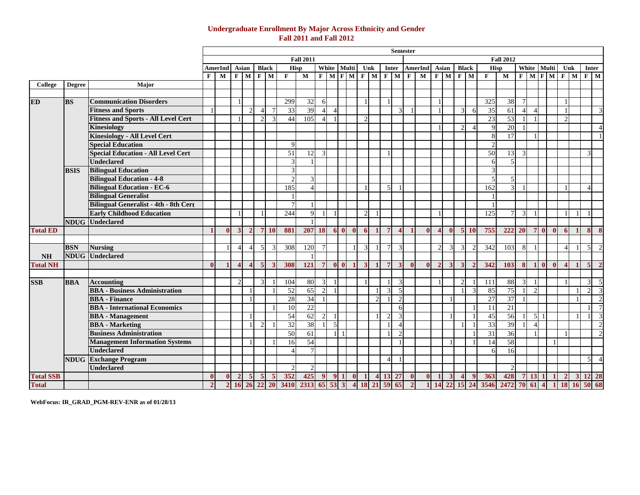## **Undergraduate Enrollment By Major Across Ethnicity and Gender Fall 2011 and Fall 2012**

|                  |               |                                              |              |                |                       |                        |                         |                         |                    |                         |                |                |                |                |                |                |                |                | <b>Semester</b> |                         |                |              |               |            |                         |                          |                |                       |                 |              |                   |              |                          |                         |
|------------------|---------------|----------------------------------------------|--------------|----------------|-----------------------|------------------------|-------------------------|-------------------------|--------------------|-------------------------|----------------|----------------|----------------|----------------|----------------|----------------|----------------|----------------|-----------------|-------------------------|----------------|--------------|---------------|------------|-------------------------|--------------------------|----------------|-----------------------|-----------------|--------------|-------------------|--------------|--------------------------|-------------------------|
|                  |               |                                              |              |                |                       |                        |                         |                         |                    | <b>Fall 2011</b>        |                |                |                |                |                |                |                |                |                 |                         |                |              |               |            |                         | <b>Fall 2012</b>         |                |                       |                 |              |                   |              |                          |                         |
|                  |               |                                              |              | <b>AmerInd</b> |                       | Asian                  |                         | <b>Black</b>            |                    | <b>Hisp</b>             |                | White          | Multi          |                | Unk            |                |                | Inter          |                 | <b>AmerInd</b>          | Asian          |              | <b>Black</b>  |            | <b>Hisp</b>             |                          |                |                       |                 | White Multi  | Unk               |              | Inter                    |                         |
|                  |               |                                              | $\mathbf{F}$ | M              |                       | F M                    |                         | $F$ M                   | $\mathbf{F}$       | $\overline{\mathbf{M}}$ |                |                |                |                | F M F M F M    |                |                | $F$ M          | $\mathbf F$     | $\overline{\mathbf{M}}$ | $F$ M          |              | $F$ M         |            | $\mathbf{F}$            | $\overline{M}$           |                |                       |                 |              | $F$ M $F$ M $F$ M |              | $F$ M                    |                         |
| College          | <b>Degree</b> | Major                                        |              |                |                       |                        |                         |                         |                    |                         |                |                |                |                |                |                |                |                |                 |                         |                |              |               |            |                         |                          |                |                       |                 |              |                   |              |                          |                         |
|                  |               |                                              |              |                |                       |                        |                         |                         |                    |                         |                |                |                |                |                |                |                |                |                 |                         |                |              |               |            |                         |                          |                |                       |                 |              |                   |              |                          |                         |
| <b>ED</b>        | <b>BS</b>     | <b>Communication Disorders</b>               |              |                |                       |                        |                         |                         | 299                | 32                      | 6              |                |                |                |                |                |                |                |                 |                         |                |              |               |            | 325                     | 38                       | $\overline{7}$ |                       |                 |              |                   |              |                          |                         |
|                  |               | <b>Fitness and Sports</b>                    |              |                |                       | $\overline{2}$         | $\overline{4}$          |                         | 33                 | 39                      | $\overline{4}$ | $\Delta$       |                |                |                |                |                | $\overline{3}$ |                 |                         |                |              | 3             | 6          | 35                      | 61                       | $\overline{4}$ | $\overline{4}$        |                 |              | - 1               |              |                          | 3                       |
|                  |               | <b>Fitness and Sports - All Level Cert</b>   |              |                |                       |                        | $\overline{2}$          | $\mathcal{R}$           | 44                 | 105                     |                |                |                |                | $\mathcal{D}$  |                |                |                |                 |                         |                |              |               |            | 23                      | 53                       |                |                       |                 |              | $\mathcal{D}$     |              |                          |                         |
|                  |               | <b>Kinesiology</b>                           |              |                |                       |                        |                         |                         |                    |                         |                |                |                |                |                |                |                |                |                 |                         |                |              | $\mathcal{D}$ |            | $\mathbf{Q}$            | 20                       | - 1            |                       |                 |              |                   |              |                          | $\overline{4}$          |
|                  |               | <b>Kinesiology - All Level Cert</b>          |              |                |                       |                        |                         |                         |                    |                         |                |                |                |                |                |                |                |                |                 |                         |                |              |               |            | 8                       | 17                       |                |                       |                 |              |                   |              |                          | $\overline{1}$          |
|                  |               | <b>Special Education</b>                     |              |                |                       |                        |                         |                         | $\mathbf Q$        |                         |                |                |                |                |                |                |                |                |                 |                         |                |              |               |            | $\overline{c}$          |                          |                |                       |                 |              |                   |              |                          |                         |
|                  |               | <b>Special Education - All Level Cert</b>    |              |                |                       |                        |                         |                         | 51                 | 12                      | 3              |                |                |                |                |                |                |                |                 |                         |                |              |               |            | 50                      | 13                       | 3              |                       |                 |              |                   |              | $\mathcal{R}$            |                         |
|                  |               | <b>Undeclared</b>                            |              |                |                       |                        |                         |                         | $\mathbf{\hat{z}}$ |                         |                |                |                |                |                |                |                |                |                 |                         |                |              |               |            | 6                       | $\overline{\phantom{0}}$ |                |                       |                 |              |                   |              |                          |                         |
|                  | <b>BSIS</b>   | <b>Bilingual Education</b>                   |              |                |                       |                        |                         |                         |                    |                         |                |                |                |                |                |                |                |                |                 |                         |                |              |               |            | $\mathbf{3}$            |                          |                |                       |                 |              |                   |              |                          |                         |
|                  |               | <b>Bilingual Education - 4-8</b>             |              |                |                       |                        |                         |                         |                    |                         |                |                |                |                |                |                |                |                |                 |                         |                |              |               |            | $\overline{\mathbf{z}}$ | $\leq$                   |                |                       |                 |              |                   |              |                          |                         |
|                  |               | <b>Bilingual Education - EC-6</b>            |              |                |                       |                        |                         |                         | 185                |                         |                |                |                |                |                |                | 5 <sub>l</sub> |                |                 |                         |                |              |               |            | 162                     | $\overline{3}$           | $\blacksquare$ |                       |                 |              |                   |              | $\overline{\phantom{a}}$ |                         |
|                  |               | <b>Bilingual Generalist</b>                  |              |                |                       |                        |                         |                         |                    |                         |                |                |                |                |                |                |                |                |                 |                         |                |              |               |            |                         |                          |                |                       |                 |              |                   |              |                          |                         |
|                  |               | <b>Bilingual Generalist - 4th - 8th Cert</b> |              |                |                       |                        |                         |                         |                    |                         |                |                |                |                |                |                |                |                |                 |                         |                |              |               |            |                         |                          |                |                       |                 |              |                   |              |                          |                         |
|                  |               | <b>Early Childhood Education</b>             |              |                |                       |                        |                         |                         | 244                | $\mathbf Q$             | -1             |                |                |                | $\mathcal{D}$  |                |                |                |                 |                         |                |              |               |            | 125                     | $\tau$                   | 3              |                       |                 |              |                   | - 1          |                          |                         |
|                  |               | NDUG Undeclared                              |              |                |                       |                        |                         |                         |                    |                         |                |                |                |                |                |                |                |                |                 |                         |                |              |               |            |                         |                          |                |                       |                 |              |                   |              |                          |                         |
| <b>Total ED</b>  |               |                                              |              | $\mathbf{0}$   | $\mathbf{3}$          | $\overline{2}$         |                         | $7\overline{10}$        | 881                | 207 18                  |                |                | 60             | $\bullet$      | -6             | $\blacksquare$ | $\overline{7}$ | $\overline{4}$ |                 | $\mathbf{0}$            | $\overline{4}$ | $\mathbf{0}$ |               | $5\quad10$ | 755                     | 222                      | <b>20</b>      |                       | 70              | $\bullet$    | 6                 | $\mathbf{1}$ | 8 <sup>1</sup>           | $\boldsymbol{8}$        |
|                  |               |                                              |              |                |                       |                        |                         |                         |                    |                         |                |                |                |                |                |                |                |                |                 |                         |                |              |               |            |                         |                          |                |                       |                 |              |                   |              |                          |                         |
|                  | <b>BSN</b>    | <b>Nursing</b>                               |              |                | $\overline{4}$        | $\overline{4}$         | $\overline{5}$          | 3                       | 308                | 120                     | $\overline{7}$ |                |                |                | 3              | $\overline{1}$ | $\overline{7}$ | 3              |                 |                         | $\overline{2}$ | 3            | 3             |            | 342                     | 103                      | 8              |                       |                 |              |                   |              | 5                        | $\overline{2}$          |
| <b>NH</b>        |               | <b>NDUG</b> Undeclared                       |              |                |                       |                        |                         |                         |                    |                         |                |                |                |                |                |                |                |                |                 |                         |                |              |               |            |                         |                          |                |                       |                 |              |                   |              |                          |                         |
| <b>Total NH</b>  |               |                                              | $\Omega$     |                | $\boldsymbol{\Delta}$ | $\boldsymbol{\Lambda}$ | $\overline{\mathbf{5}}$ | $\mathbf{3}$            | 308                | 121                     | $\overline{7}$ |                | 0 <sub>0</sub> | $\blacksquare$ | $\overline{3}$ | $\blacksquare$ | $\overline{7}$ | $\overline{3}$ | $\mathbf{0}$    | $\mathbf{0}$            | $\mathcal{D}$  | $\mathbf{3}$ | 3             |            | 342                     | 103                      | $\mathbf{8}$   |                       | 10 <sup>1</sup> | $\mathbf{0}$ | $\mathbf{A}$      |              | $\overline{5}$           | $\overline{2}$          |
|                  |               |                                              |              |                |                       |                        |                         |                         |                    |                         |                |                |                |                |                |                |                |                |                 |                         |                |              |               |            |                         |                          |                |                       |                 |              |                   |              |                          |                         |
| <b>SSB</b>       | <b>BBA</b>    | <b>Accounting</b>                            |              |                | $\mathcal{D}$         |                        | $\mathcal{R}$           |                         | 104                | 80                      | 3              |                |                |                |                |                |                | 3              |                 |                         |                |              |               |            | 111                     | 88                       | 3              |                       |                 |              |                   |              | 3                        | 5                       |
|                  |               | <b>BBA</b> - Business Administration         |              |                |                       |                        |                         |                         | 52                 | 65                      | $\mathcal{D}$  |                |                |                |                |                | 3              | $\overline{5}$ |                 |                         |                |              |               |            | 85                      | 75                       | $\mathbf{1}$   | $\mathcal{D}$         |                 |              |                   |              | 2                        | $\overline{\mathbf{3}}$ |
|                  |               | <b>BBA</b> - Finance                         |              |                |                       |                        |                         |                         | 28                 | 34                      |                |                |                |                |                |                |                | 2              |                 |                         |                |              |               |            | 27                      | 37                       |                |                       |                 |              |                   |              |                          | 2                       |
|                  |               | <b>BBA</b> - International Economics         |              |                |                       |                        |                         |                         | 10                 | 22                      |                |                |                |                |                |                |                | 6              |                 |                         |                |              |               |            | 11                      | 21                       |                |                       |                 |              |                   |              | -1                       | $\overline{7}$          |
|                  |               | <b>BBA</b> - Management                      |              |                |                       |                        |                         |                         | 54                 | 62                      | 2              |                |                |                |                |                | $\mathcal{D}$  | $\overline{3}$ |                 |                         |                |              |               |            | $\overline{45}$         | 56                       |                | 5 <sup>l</sup>        |                 |              |                   |              |                          | $\overline{3}$          |
|                  |               | <b>BBA</b> - Marketing                       |              |                |                       |                        | $\mathfrak{D}$          |                         | 32                 | 38                      |                | $\overline{5}$ |                |                |                |                | $\mathbf{1}$   | $\overline{4}$ |                 |                         |                |              |               |            | 33                      | 39                       | $\overline{1}$ | $\boldsymbol{\Delta}$ |                 |              |                   |              |                          | 2                       |
|                  |               | <b>Business Administration</b>               |              |                |                       |                        |                         |                         | 50                 | 61                      |                |                |                |                |                |                |                | $\overline{2}$ |                 |                         |                |              |               |            | 31                      | 36                       |                |                       |                 |              |                   |              |                          | $\overline{2}$          |
|                  |               | <b>Management Information Systems</b>        |              |                |                       |                        |                         |                         | 16                 | $\overline{54}$         |                |                |                |                |                |                |                |                |                 |                         |                |              |               |            | 14                      | 58                       |                |                       |                 |              |                   |              |                          |                         |
|                  |               | <b>Undeclared</b>                            |              |                |                       |                        |                         |                         |                    |                         |                |                |                |                |                |                |                |                |                 |                         |                |              |               |            | 6                       | 16                       |                |                       |                 |              |                   |              |                          |                         |
|                  |               | <b>NDUG</b> Exchange Program                 |              |                |                       |                        |                         |                         |                    |                         |                |                |                |                |                |                | $\overline{4}$ | $\mathbf{1}$   |                 |                         |                |              |               |            |                         |                          |                |                       |                 |              |                   |              | $\overline{5}$           | $\overline{4}$          |
|                  |               | <b>Undeclared</b>                            |              |                |                       |                        |                         |                         |                    |                         |                |                |                |                |                |                |                |                |                 |                         |                |              |               |            |                         |                          |                |                       |                 |              |                   |              |                          |                         |
| <b>Total SSB</b> |               |                                              | $\mathbf{0}$ | $\bf{0}$       | $\overline{2}$        | $\sqrt{5}$             | 5                       | $\overline{\mathbf{5}}$ | 352                | 425                     | 9              |                | $9 \mid 1$     | $\mathbf{0}$   | $\mathbf{1}$   |                | 4 13 27        |                | $\mathbf{0}$    | $\mathbf{0}$            | $\mathbf{1}$   |              |               |            | 363                     | 428                      |                | 7 13 1                |                 | $\mathbf{1}$ | $\mathbf{2}$      |              | 3 12 28                  |                         |
| <b>Total</b>     |               |                                              |              |                |                       |                        |                         | 2 16 26 22 20           | 3410               | 2313 65 53 3            |                |                |                |                | <b>18</b>      | 21             | 59             | 65             |                 |                         |                | 22           |               | 24         | 3546                    | 2472                     |                | 70 61                 | $\overline{4}$  |              | <b>18</b>         | <b>16</b>    | 50                       | 68                      |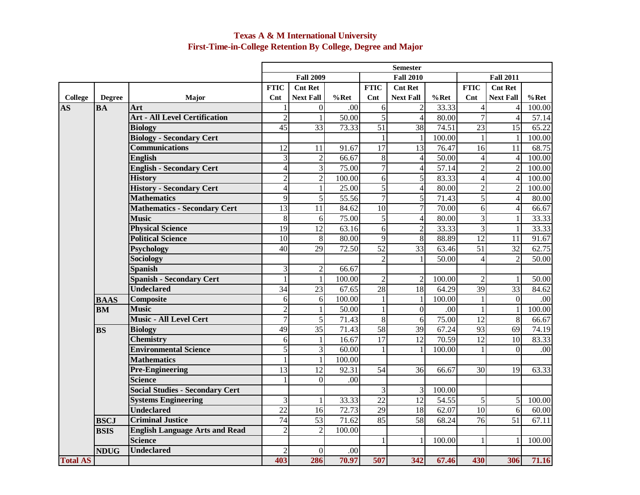## **Texas A & M International University First-Time-in-College Retention By College, Degree and Major**

|                 |               |                                        |                         |                  |         |                 | <b>Semester</b>  |                    |                 |                  |         |
|-----------------|---------------|----------------------------------------|-------------------------|------------------|---------|-----------------|------------------|--------------------|-----------------|------------------|---------|
|                 |               |                                        |                         | <b>Fall 2009</b> |         |                 | <b>Fall 2010</b> |                    |                 | <b>Fall 2011</b> |         |
|                 |               |                                        | <b>FTIC</b>             | <b>Cnt Ret</b>   |         | <b>FTIC</b>     | <b>Cnt Ret</b>   |                    | <b>FTIC</b>     | <b>Cnt Ret</b>   |         |
| <b>College</b>  | <b>Degree</b> | Major                                  | Cnt                     | <b>Next Fall</b> | $%$ Ret | $\mathbf{Cnt}$  | <b>Next Fall</b> | $%$ Ret            | $\mathbf{Cnt}$  | <b>Next Fall</b> | $%$ Ret |
| AS              | <b>BA</b>     | Art                                    | $\mathbf{1}$            | $\overline{0}$   | .00     | 6               | $\mathfrak{2}$   | 33.33              | $\overline{4}$  | 4                | 100.00  |
|                 |               | <b>Art - All Level Certification</b>   | $\overline{2}$          | $\mathbf{1}$     | 50.00   | 5               | $\overline{4}$   | 80.00              | $\overline{7}$  | $\overline{4}$   | 57.14   |
|                 |               | <b>Biology</b>                         | 45                      | $\overline{33}$  | 73.33   | 51              | $\overline{38}$  | $\overline{74.51}$ | $\overline{23}$ | $\overline{15}$  | 65.22   |
|                 |               | <b>Biology - Secondary Cert</b>        |                         |                  |         |                 | $\mathbf{1}$     | 100.00             | 1               | $\mathbf{1}$     | 100.00  |
|                 |               | <b>Communications</b>                  | $\overline{12}$         | 11               | 91.67   | 17              | 13               | 76.47              | 16              | 11               | 68.75   |
|                 |               | <b>English</b>                         | $\overline{3}$          | $\overline{2}$   | 66.67   | 8               | $\overline{4}$   | 50.00              | $\overline{4}$  | $\overline{4}$   | 100.00  |
|                 |               | <b>English - Secondary Cert</b>        | $\overline{4}$          | 3                | 75.00   | $\overline{7}$  | $\overline{4}$   | 57.14              | $\overline{2}$  | $\sqrt{2}$       | 100.00  |
|                 |               | <b>History</b>                         | $\overline{2}$          | $\overline{2}$   | 100.00  | 6               | $\overline{5}$   | 83.33              | $\overline{4}$  | $\overline{4}$   | 100.00  |
|                 |               | <b>History - Secondary Cert</b>        | $\overline{\mathbf{4}}$ | $\mathbf{1}$     | 25.00   | 5               | 4                | 80.00              | $\overline{2}$  | $\mathfrak{2}$   | 100.00  |
|                 |               | <b>Mathematics</b>                     | 9                       | 5                | 55.56   | $\overline{7}$  | $\overline{5}$   | 71.43              | $\overline{5}$  | $\overline{4}$   | 80.00   |
|                 |               | <b>Mathematics - Secondary Cert</b>    | 13                      | 11               | 84.62   | 10              | $\overline{7}$   | 70.00              | $\overline{6}$  | $\overline{4}$   | 66.67   |
|                 |               | <b>Music</b>                           | 8                       | 6                | 75.00   | 5               | $\overline{4}$   | 80.00              | $\overline{3}$  | $\mathbf{1}$     | 33.33   |
|                 |               | <b>Physical Science</b>                | 19                      | 12               | 63.16   | 6               | $\overline{2}$   | 33.33              | $\overline{3}$  | $\mathbf{1}$     | 33.33   |
|                 |               | <b>Political Science</b>               | 10                      | 8                | 80.00   | $\overline{9}$  | $\overline{8}$   | 88.89              | 12              | 11               | 91.67   |
|                 |               | <b>Psychology</b>                      | 40                      | 29               | 72.50   | $\overline{52}$ | 33               | 63.46              | $\overline{51}$ | 32               | 62.75   |
|                 |               | Sociology                              |                         |                  |         | $\overline{2}$  | $\mathbf{1}$     | 50.00              | $\overline{4}$  | $\overline{2}$   | 50.00   |
|                 |               | <b>Spanish</b>                         | $\overline{3}$          | $\overline{2}$   | 66.67   |                 |                  |                    |                 |                  |         |
|                 |               | <b>Spanish - Secondary Cert</b>        | $\overline{1}$          | $\mathbf{1}$     | 100.00  | $\overline{2}$  | $\overline{2}$   | 100.00             | $\overline{2}$  | $\mathbf{1}$     | 50.00   |
|                 |               | <b>Undeclared</b>                      | 34                      | 23               | 67.65   | 28              | $\overline{18}$  | 64.29              | 39              | $\overline{33}$  | 84.62   |
|                 | <b>BAAS</b>   | <b>Composite</b>                       | $6 \mid$                | 6                | 100.00  | 1               | 1                | 100.00             | 1               | $\overline{0}$   | .00     |
|                 | <b>BM</b>     | <b>Music</b>                           | $\overline{2}$          | $\mathbf 1$      | 50.00   |                 | $\overline{0}$   | .00                |                 | $\mathbf{1}$     | 100.00  |
|                 |               | <b>Music - All Level Cert</b>          | $\overline{7}$          | 5                | 71.43   | $\overline{8}$  | 6                | 75.00              | $\overline{12}$ | $\infty$         | 66.67   |
|                 | <b>BS</b>     | <b>Biology</b>                         | 49                      | 35               | 71.43   | 58              | $\overline{39}$  | 67.24              | 93              | 69               | 74.19   |
|                 |               | <b>Chemistry</b>                       | 6                       | $\mathbf{1}$     | 16.67   | $\overline{17}$ | 12               | 70.59              | 12              | 10               | 83.33   |
|                 |               | <b>Environmental Science</b>           | $\overline{5}$          | 3                | 60.00   |                 | $\mathbf{1}$     | 100.00             |                 | $\Omega$         | .00     |
|                 |               | <b>Mathematics</b>                     | $\overline{1}$          | $\mathbf{1}$     | 100.00  |                 |                  |                    |                 |                  |         |
|                 |               | <b>Pre-Engineering</b>                 | 13                      | $\overline{12}$  | 92.31   | 54              | $\overline{36}$  | 66.67              | $\overline{30}$ | 19               | 63.33   |
|                 |               | <b>Science</b>                         | $\mathbf{1}$            | $\overline{0}$   | .00     |                 |                  |                    |                 |                  |         |
|                 |               | <b>Social Studies - Secondary Cert</b> |                         |                  |         | 3               | 3                | 100.00             |                 |                  |         |
|                 |               | <b>Systems Engineering</b>             | $\overline{3}$          | $\mathbf 1$      | 33.33   | $\overline{22}$ | $\overline{12}$  | 54.55              | 5               | 5                | 100.00  |
|                 |               | <b>Undeclared</b>                      | 22                      | 16               | 72.73   | 29              | 18               | 62.07              | 10              | $6 \overline{6}$ | 60.00   |
|                 | <b>BSCJ</b>   | <b>Criminal Justice</b>                | 74                      | $\overline{53}$  | 71.62   | 85              | 58               | 68.24              | $\overline{76}$ | 51               | 67.11   |
|                 | <b>BSIS</b>   | <b>English Language Arts and Read</b>  | $\overline{2}$          | $\overline{2}$   | 100.00  |                 |                  |                    |                 |                  |         |
|                 |               | <b>Science</b>                         |                         |                  |         | $\mathbf{1}$    |                  | 100.00             | 1               | $\mathbf{1}$     | 100.00  |
|                 | <b>NDUG</b>   | <b>Undeclared</b>                      | $\overline{c}$          | $\Omega$         | .00     |                 |                  |                    |                 |                  |         |
| <b>Total AS</b> |               |                                        | 403                     | 286              | 70.97   | 507             | 342              | 67.46              | 430             | 306              | 71.16   |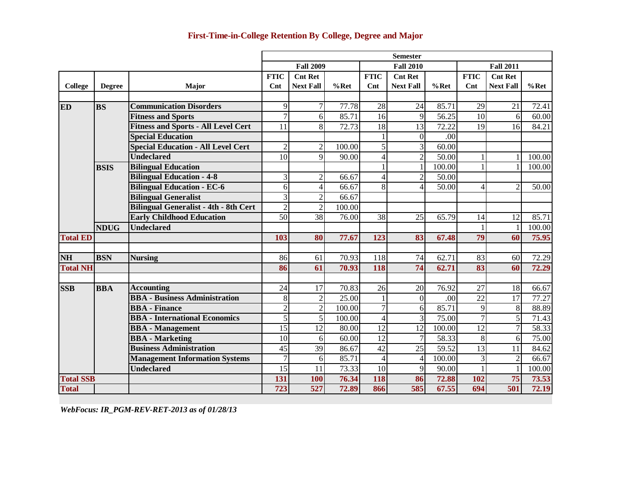|                  |               |                                              |                 |                          |         |                 | <b>Semester</b>  |         |                 |                  |         |
|------------------|---------------|----------------------------------------------|-----------------|--------------------------|---------|-----------------|------------------|---------|-----------------|------------------|---------|
|                  |               |                                              |                 | <b>Fall 2009</b>         |         |                 | <b>Fall 2010</b> |         |                 | <b>Fall 2011</b> |         |
|                  |               |                                              | <b>FTIC</b>     | <b>Cnt Ret</b>           |         | <b>FTIC</b>     | <b>Cnt Ret</b>   |         | <b>FTIC</b>     | <b>Cnt Ret</b>   |         |
| <b>College</b>   | <b>Degree</b> | Major                                        | Cnt             | <b>Next Fall</b>         | $%$ Ret | Cnt             | <b>Next Fall</b> | $%$ Ret | $\mathbf{Cnt}$  | <b>Next Fall</b> | $%$ Ret |
|                  |               |                                              |                 |                          |         |                 |                  |         |                 |                  |         |
| <b>ED</b>        | <b>BS</b>     | <b>Communication Disorders</b>               | 9               |                          | 77.78   | 28              | 24               | 85.71   | 29              | 21               | 72.41   |
|                  |               | <b>Fitness and Sports</b>                    | $\overline{7}$  | 6                        | 85.71   | 16              | 9                | 56.25   | 10              | 6                | 60.00   |
|                  |               | <b>Fitness and Sports - All Level Cert</b>   | 11              | 8                        | 72.73   | $\overline{18}$ | 13               | 72.22   | 19              | 16               | 84.21   |
|                  |               | <b>Special Education</b>                     |                 |                          |         |                 | $\overline{0}$   | .00     |                 |                  |         |
|                  |               | <b>Special Education - All Level Cert</b>    | $\overline{2}$  | $\overline{2}$           | 100.00  | $\overline{5}$  | 3                | 60.00   |                 |                  |         |
|                  |               | <b>Undeclared</b>                            | 10              | $\mathbf{Q}$             | 90.00   | $\overline{4}$  | $\overline{2}$   | 50.00   |                 | 1                | 100.00  |
|                  | <b>BSIS</b>   | <b>Bilingual Education</b>                   |                 |                          |         |                 |                  | 100.00  |                 | 1                | 100.00  |
|                  |               | <b>Bilingual Education - 4-8</b>             | 3               | $\overline{2}$           | 66.67   | $\overline{4}$  | $\overline{2}$   | 50.00   |                 |                  |         |
|                  |               | <b>Bilingual Education - EC-6</b>            | 6               | $\overline{\mathcal{A}}$ | 66.67   | 8               | $\overline{4}$   | 50.00   | $\overline{4}$  | $\overline{2}$   | 50.00   |
|                  |               | <b>Bilingual Generalist</b>                  | 3               | $\overline{2}$           | 66.67   |                 |                  |         |                 |                  |         |
|                  |               | <b>Bilingual Generalist - 4th - 8th Cert</b> | $\overline{2}$  | $\overline{c}$           | 100.00  |                 |                  |         |                 |                  |         |
|                  |               | <b>Early Childhood Education</b>             | 50              | $\overline{38}$          | 76.00   | $\overline{38}$ | 25               | 65.79   | 14              | 12               | 85.71   |
|                  | <b>NDUG</b>   | <b>Undeclared</b>                            |                 |                          |         |                 |                  |         |                 | 1                | 100.00  |
| <b>Total ED</b>  |               |                                              | 103             | 80                       | 77.67   | 123             | 83               | 67.48   | $\overline{79}$ | 60               | 75.95   |
|                  |               |                                              |                 |                          |         |                 |                  |         |                 |                  |         |
| NH               | <b>BSN</b>    | <b>Nursing</b>                               | 86              | 61                       | 70.93   | 118             | 74               | 62.71   | 83              | 60               | 72.29   |
| <b>Total NH</b>  |               |                                              | 86              | 61                       | 70.93   | 118             | 74               | 62.71   | 83              | 60               | 72.29   |
| <b>SSB</b>       | <b>BBA</b>    | <b>Accounting</b>                            | 24              | 17                       | 70.83   | 26              | 20               | 76.92   | 27              | 18               | 66.67   |
|                  |               | <b>BBA - Business Administration</b>         | $\,8\,$         | $\overline{2}$           | 25.00   | $\mathbf{1}$    | $\overline{0}$   | .00     | $\overline{22}$ | 17               | 77.27   |
|                  |               | <b>BBA</b> - Finance                         | $\overline{c}$  | $\overline{2}$           | 100.00  | $\overline{7}$  | 6                | 85.71   | 9               | 8                | 88.89   |
|                  |               | <b>BBA</b> - International Economics         | 5               | 5                        | 100.00  | $\overline{4}$  | 3                | 75.00   | 7               | 5                | 71.43   |
|                  |               | <b>BBA</b> - Management                      | $\overline{15}$ | 12                       | 80.00   | $\overline{12}$ | 12               | 100.00  | $\overline{12}$ | 7                | 58.33   |
|                  |               | <b>BBA</b> - Marketing                       | 10              | 6                        | 60.00   | $\overline{12}$ | $\overline{7}$   | 58.33   | $\overline{8}$  | 6                | 75.00   |
|                  |               | <b>Business Administration</b>               | 45              | 39                       | 86.67   | $\overline{42}$ | 25               | 59.52   | $\overline{13}$ | 11               | 84.62   |
|                  |               | <b>Management Information Systems</b>        | $\overline{7}$  | 6                        | 85.71   | $\overline{4}$  | $\overline{4}$   | 100.00  | 3               | $\overline{2}$   | 66.67   |
|                  |               | <b>Undeclared</b>                            | 15              | 11                       | 73.33   | 10              | 9                | 90.00   |                 | $\mathbf{1}$     | 100.00  |
| <b>Total SSB</b> |               |                                              | 131             | 100                      | 76.34   | 118             | 86               | 72.88   | 102             | 75               | 73.53   |
| <b>Total</b>     |               |                                              | 723             | 527                      | 72.89   | 866             | 585              | 67.55   | 694             | 501              | 72.19   |

*WebFocus: IR\_PGM-REV-RET-2013 as of 01/28/13*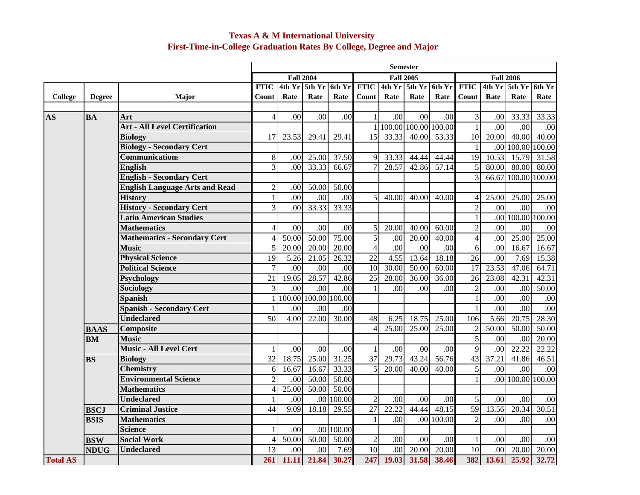## **Texas A & M International University First-Time-in-College Graduation Rates By College, Degree and Major**

|                 |               |                                       |                  |                  |                      |                  |                 |                        | <b>Semester</b>  |                  |                 |                   |                   |                  |
|-----------------|---------------|---------------------------------------|------------------|------------------|----------------------|------------------|-----------------|------------------------|------------------|------------------|-----------------|-------------------|-------------------|------------------|
|                 |               |                                       |                  |                  | <b>Fall 2004</b>     |                  |                 |                        | <b>Fall 2005</b> |                  |                 |                   | <b>Fall 2006</b>  |                  |
|                 |               |                                       | <b>FTIC</b>      | $4th$ Yr         | 5th Yr               | 6th Yr           | <b>FTIC</b>     |                        | 4th Yr 5th Yr    | 6th Yr           | <b>FTIC</b>     | $4th$ Yr          | 5th Yr            | 6th Yr           |
| <b>College</b>  | <b>Degree</b> | Major                                 | Count            | Rate             | Rate                 | Rate             | Count           | Rate                   | Rate             | Rate             | Count           | Rate              | Rate              | Rate             |
|                 |               |                                       |                  |                  |                      |                  |                 |                        |                  |                  |                 |                   |                   |                  |
| <b>AS</b>       | <b>BA</b>     | Art                                   | $\overline{4}$   | $\overline{.00}$ | .00                  | .00              | $\mathbf{1}$    | $\overline{.00}$       | $\overline{00}$  | $\overline{.00}$ | 3               | .00               | 33.33             | 33.33            |
|                 |               | <b>Art - All Level Certification</b>  |                  |                  |                      |                  |                 | 1 100.00 100.00 100.00 |                  |                  | $\mathbf{1}$    | .00               | .00               | .00              |
|                 |               | <b>Biology</b>                        | 17               | 23.53            | 29.41                | 29.41            | 15              | 33.33                  | 40.00            | 53.33            | 10              | 20.00             | 40.00             | 40.00            |
|                 |               | <b>Biology - Secondary Cert</b>       |                  |                  |                      |                  |                 |                        |                  |                  | $\mathbf{1}$    | .00               | 100.00            | 100.00           |
|                 |               | <b>Communications</b>                 | $\,8\,$          | .00              | 25.00                | 37.50            | 9               | 33.33                  | 44.44            | 44.44            | 19              | 10.53             | 15.79             | 31.58            |
|                 |               | <b>English</b>                        | 3                | $\overline{00}$  | 33.33                | 66.67            | $\overline{7}$  | 28.57                  | 42.86            | 57.14            | 5               | 80.00             | 80.00             | 80.00            |
|                 |               | <b>English - Secondary Cert</b>       |                  |                  |                      |                  |                 |                        |                  |                  | $\overline{3}$  | 66.67             | 100.00            | 100.00           |
|                 |               | <b>English Language Arts and Read</b> | $\sqrt{2}$       | .00              | 50.00                | 50.00            |                 |                        |                  |                  |                 |                   |                   |                  |
|                 |               | <b>History</b>                        | $\mathbf{1}$     | .00              | .00                  | .00              | 5               | 40.00                  | 40.00            | 40.00            | 4               | 25.00             | 25.00             | 25.00            |
|                 |               | <b>History - Secondary Cert</b>       | 3                | .00              | 33.33                | 33.33            |                 |                        |                  |                  | $\overline{2}$  | $\overline{00}$   | .00               | .00              |
|                 |               | <b>Latin American Studies</b>         |                  |                  |                      |                  |                 |                        |                  |                  | $\mathbf{1}$    |                   | .00 100.00 100.00 |                  |
|                 |               | <b>Mathematics</b>                    | $\overline{4}$   | $\overline{.00}$ | .00                  | .00              | 5               | 20.00                  | 40.00            | 60.00            | $\overline{2}$  | .00               | $\overline{.00}$  | $\overline{.00}$ |
|                 |               | <b>Mathematics - Secondary Cert</b>   | $\overline{4}$   | 50.00            | 50.00                | 75.00            | $\overline{5}$  | .00                    | 20.00            | 40.00            | $\overline{4}$  | $\overline{00}$   | 25.00             | 25.00            |
|                 |               | <b>Music</b>                          | 5                | 20.00            | 20.00                | 20.00            | $\vert$         | .00                    | .00              | .00              | 6               | .00               | 16.67             | 16.67            |
|                 |               | <b>Physical Science</b>               | $\overline{19}$  | 5.26             | 21.05                | 26.32            | $\overline{22}$ | 4.55                   | 13.64            | 18.18            | $\overline{26}$ | $\overline{.00}$  | 7.69              | 15.38            |
|                 |               | <b>Political Science</b>              | $\boldsymbol{7}$ | $\overline{.00}$ | $\overline{.00}$     | $\overline{.00}$ | 10              | 30.00                  | 50.00            | 60.00            | 17              | 23.53             | 47.06             | 64.71            |
|                 |               | Psychology                            | $\overline{21}$  | 19.05            | 28.57                | 42.86            | $\overline{25}$ | 28.00                  | 36.00            | 36.00            | $\overline{26}$ | 23.08             | 42.31             | 42.31            |
|                 |               | Sociology                             | 3                | $\overline{.00}$ | .00                  | $\overline{.00}$ | $\mathbf{1}$    | .00                    | .00              | .00              | $\overline{2}$  | $\overline{00}$   | .00               | 50.00            |
|                 |               | <b>Spanish</b>                        | $\mathbf{1}$     |                  | 100.00 100.00 100.00 |                  |                 |                        |                  |                  | $\mathbf{1}$    | $\overline{.00}$  | .00               | .00              |
|                 |               | <b>Spanish - Secondary Cert</b>       | 1                | .00              | .00                  | .00              |                 |                        |                  |                  | $\mathbf{1}$    | .00               | .00               | .00              |
|                 |               | <b>Undeclared</b>                     | $\overline{50}$  | 4.00             | 22.00                | 30.00            | 48              | 6.25                   | 18.75            | 25.00            | 106             | $\overline{5.66}$ | 20.75             | 28.30            |
|                 | <b>BAAS</b>   | Composite                             |                  |                  |                      |                  | $\overline{4}$  | 25.00                  | 25.00            | 25.00            | $\overline{2}$  | 50.00             | 50.00             | 50.00            |
|                 | <b>BM</b>     | <b>Music</b>                          |                  |                  |                      |                  |                 |                        |                  |                  | $\overline{5}$  | $\overline{.00}$  | .00               | 20.00            |
|                 |               | <b>Music - All Level Cert</b>         | $\mathbf{1}$     | .00              | .00                  | .00              | $\mathbf{1}$    | .00                    | .00              | .00              | $\overline{9}$  | $\overline{00}$   | 22.22             | 22.22            |
|                 | <b>BS</b>     | <b>Biology</b>                        | 32               | 18.75            | 25.00                | 31.25            | 37              | 29.73                  | 43.24            | 56.76            | 43              | 37.21             | 41.86             | 46.51            |
|                 |               | <b>Chemistry</b>                      | 6                | 16.67            | 16.67                | 33.33            | 5               | 20.00                  | 40.00            | 40.00            | $\overline{5}$  | .00               | .00               | .00              |
|                 |               | <b>Environmental Science</b>          | $\overline{2}$   | .00              | 50.00                | 50.00            |                 |                        |                  |                  | $\mathbf{1}$    |                   | .00 100.00 100.00 |                  |
|                 |               | <b>Mathematics</b>                    | $\overline{4}$   | 25.00            | 50.00                | 50.00            |                 |                        |                  |                  |                 |                   |                   |                  |
|                 |               | <b>Undeclared</b>                     | $\mathbf{1}$     | $\overline{00}$  | $.00\,$              | 100.00           | $\overline{2}$  | $\overline{00}$        | $\overline{.00}$ | .00              | 5               | $\overline{00}$   | $\overline{.00}$  | .00              |
|                 | <b>BSCJ</b>   | <b>Criminal Justice</b>               | $\overline{44}$  | 9.09             | 18.18                | 29.55            | $\overline{27}$ | 22.22                  | 44.44            | 48.15            | 59              | 13.56             | 20.34             | 30.51            |
|                 | <b>BSIS</b>   | <b>Mathematics</b>                    |                  |                  |                      |                  | 1               | .00                    | .00              | 100.00           | $\overline{c}$  | .00 <sub>1</sub>  | .00               | .00              |
|                 |               | <b>Science</b>                        | $\mathbf{1}$     | .00              |                      | $.00$ 100.00     |                 |                        |                  |                  |                 |                   |                   |                  |
|                 | <b>BSW</b>    | <b>Social Work</b>                    | $\overline{4}$   | 50.00            | 50.00                | 50.00            | $\sqrt{2}$      | .00                    | .00              | .00              | $\mathbf{1}$    | .00               | .00.              | .00              |
|                 | <b>NDUG</b>   | <b>Undeclared</b>                     | $\overline{13}$  | $\overline{00}$  | .00                  | 7.69             | 10              | .00                    | 20.00            | 20.00            | 10              | .00.              | 20.00             | 20.00            |
| <b>Total AS</b> |               |                                       |                  | 261 11.11        | 21.84                | 30.27            | 247             | 19.03                  | 31.58            | 38.46            |                 | 382 13.61         | 25.92             | 32.72            |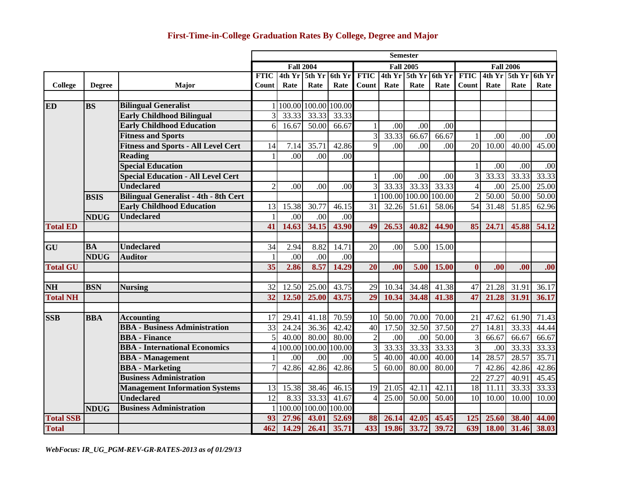## **First-Time-in-College Graduation Rates By College, Degree and Major**

|                  |               |                                              | <b>Semester</b>  |                        |                 |                  |                 |               |                  |        |                 |                 |               |        |
|------------------|---------------|----------------------------------------------|------------------|------------------------|-----------------|------------------|-----------------|---------------|------------------|--------|-----------------|-----------------|---------------|--------|
|                  |               |                                              | <b>Fall 2004</b> |                        |                 | <b>Fall 2005</b> |                 |               | <b>Fall 2006</b> |        |                 |                 |               |        |
|                  |               |                                              | <b>FTIC</b>      |                        | $4th$ Yr 5th Yr | 6th Yr           | <b>FTIC</b>     |               | 4th Yr 5th Yr    | 6th Yr | <b>FTIC</b>     |                 | 4th Yr 5th Yr | 6th Yr |
| College          | <b>Degree</b> | Major                                        | Count            | Rate                   | Rate            | Rate             | Count l         | Rate          | Rate             | Rate   | Count           | Rate            | Rate          | Rate   |
|                  |               |                                              |                  |                        |                 |                  |                 |               |                  |        |                 |                 |               |        |
| <b>ED</b>        | <b>BS</b>     | <b>Bilingual Generalist</b>                  |                  | 1 100.00 100.00 100.00 |                 |                  |                 |               |                  |        |                 |                 |               |        |
|                  |               | <b>Early Childhood Bilingual</b>             | 3                | 33.33                  | 33.33           | 33.33            |                 |               |                  |        |                 |                 |               |        |
|                  |               | <b>Early Childhood Education</b>             | 6                | 16.67                  | 50.00           | 66.67            | $\mathbf{1}$    | .00           | .00              | .00    |                 |                 |               |        |
|                  |               | <b>Fitness and Sports</b>                    |                  |                        |                 |                  | 3               | 33.33         | 66.67            | 66.67  | 1               | .00             | .00           | .00    |
|                  |               | <b>Fitness and Sports - All Level Cert</b>   | 14               | 7.14                   | 35.71           | 42.86            | $\mathbf{Q}$    | .00           | .00              | .00    | 20              | 10.00           | 40.00         | 45.00  |
|                  |               | <b>Reading</b>                               | $\mathbf{1}$     | .00                    | .00             | .00              |                 |               |                  |        |                 |                 |               |        |
|                  |               | <b>Special Education</b>                     |                  |                        |                 |                  |                 |               |                  |        | 1               | $\overline{00}$ | .00           | .00    |
|                  |               | <b>Special Education - All Level Cert</b>    |                  |                        |                 |                  |                 | .00           | .00              | .00    | 3               | 33.33           | 33.33         | 33.33  |
|                  |               | <b>Undeclared</b>                            | $\overline{2}$   | .00                    | .00             | .00              | 3               | 33.33         | 33.33            | 33.33  | $\overline{4}$  | .00             | 25.00         | 25.00  |
|                  | <b>BSIS</b>   | <b>Bilingual Generalist - 4th - 8th Cert</b> |                  |                        |                 |                  |                 | 100.00 100.00 |                  | 100.00 | $\mathfrak{I}$  | 50.00           | 50.00         | 50.00  |
|                  |               | <b>Early Childhood Education</b>             | 13               | 15.38                  | 30.77           | 46.15            | 31              | 32.26         | 51.61            | 58.06  | $\overline{54}$ | 31.48           | 51.85         | 62.96  |
|                  | <b>NDUG</b>   | <b>Undeclared</b>                            | $\mathbf{1}$     | .00                    | .00             | .00              |                 |               |                  |        |                 |                 |               |        |
| <b>Total ED</b>  |               |                                              | 41               | 14.63                  | 34.15           | 43.90            | 49              | 26.53         | 40.82            | 44.90  | 85              | 24.71           | 45.88         | 54.12  |
|                  |               |                                              |                  |                        |                 |                  |                 |               |                  |        |                 |                 |               |        |
| GU               | <b>BA</b>     | <b>Undeclared</b>                            | 34               | 2.94                   | 8.82            | 14.71            | 20              | .00           | 5.00             | 15.00  |                 |                 |               |        |
|                  | <b>NDUG</b>   | <b>Auditor</b>                               | $\mathbf{1}$     | .00                    | .00             | .00              |                 |               |                  |        |                 |                 |               |        |
| <b>Total GU</b>  |               |                                              | $\overline{35}$  | 2.86                   | 8.57            | 14.29            | 20              | .00           | 5.00             | 15.00  | $\bf{0}$        | .00             | .00           | .00    |
| <b>NH</b>        | <b>BSN</b>    | <b>Nursing</b>                               | 32               | 12.50                  | 25.00           | 43.75            | 29              | 10.34         | 34.48            | 41.38  | 47              | 21.28           | 31.91         | 36.17  |
| <b>Total NH</b>  |               |                                              | $\overline{32}$  | 12.50                  | 25.00           | 43.75            | $\overline{29}$ | 10.34         | 34.48            | 41.38  | 47              | 21.28           | 31.91         | 36.17  |
|                  |               |                                              |                  |                        |                 |                  |                 |               |                  |        |                 |                 |               |        |
| <b>SSB</b>       | <b>BBA</b>    | <b>Accounting</b>                            | 17               | 29.41                  | 41.18           | 70.59            | 10              | 50.00         | 70.00            | 70.00  | 21              | 47.62           | 61.90         | 71.43  |
|                  |               | <b>BBA - Business Administration</b>         | $\overline{33}$  | 24.24                  | 36.36           | 42.42            | 40              | 17.50         | 32.50            | 37.50  | $\overline{27}$ | 14.81           | 33.33         | 44.44  |
|                  |               | <b>BBA</b> - Finance                         | 5                | 40.00                  | 80.00           | 80.00            | $\overline{2}$  | .00           | .00              | 50.00  | 3               | 66.67           | 66.67         | 66.67  |
|                  |               | <b>BBA</b> - International Economics         | $\frac{4}{3}$    |                        | 100.00 100.00   | 100.00           | 3               | 33.33         | 33.33            | 33.33  | $\overline{3}$  | .00             | 33.33         | 33.33  |
|                  |               | <b>BBA</b> - Management                      | 1                | .00                    | .00             | .00              | 5               | 40.00         | 40.00            | 40.00  | 14              | 28.57           | 28.57         | 35.71  |
|                  |               | <b>BBA</b> - Marketing                       | 7                | 42.86                  | 42.86           | 42.86            | 5               | 60.00         | 80.00            | 80.00  |                 | 42.86           | 42.86         | 42.86  |
|                  |               | <b>Business Administration</b>               |                  |                        |                 |                  |                 |               |                  |        | $\overline{22}$ | 27.27           | 40.91         | 45.45  |
|                  |               | <b>Management Information Systems</b>        | 13               | 15.38                  | 38.46           | 46.15            | 19              | 21.05         | 42.11            | 42.11  | 18              | 11.11           | 33.33         | 33.33  |
|                  |               | <b>Undeclared</b>                            | $\overline{12}$  | 8.33                   | 33.33           | 41.67            |                 | 25.00         | 50.00            | 50.00  | 10              | 10.00           | 10.00         | 10.00  |
|                  | <b>NDUG</b>   | <b>Business Administration</b>               | 1 <sup>1</sup>   |                        | 100.00 100.00   | 100.00           |                 |               |                  |        |                 |                 |               |        |
| <b>Total SSB</b> |               |                                              | 93               | 27.96                  | 43.01           | 52.69            | 88              | 26.14         | 42.05            | 45.45  | 125             | 25.60           | 38.40         | 44.00  |
| <b>Total</b>     |               |                                              | 462              | 14.29                  | 26.41           | 35.71            | 433             | 19.86         | 33.72            | 39.72  | 639             | <b>18.00</b>    | 31.46         | 38.03  |

*WebFocus: IR\_UG\_PGM-REV-GR-RATES-2013 as of 01/29/13*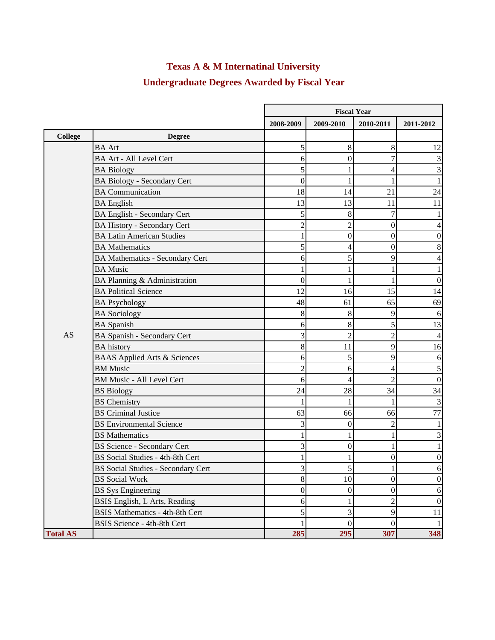# **Texas A & M Internatinal University**

# **Undergraduate Degrees Awarded by Fiscal Year**

|                 |                                           | <b>Fiscal Year</b> |                  |                  |                  |  |
|-----------------|-------------------------------------------|--------------------|------------------|------------------|------------------|--|
|                 |                                           | 2008-2009          | 2009-2010        | 2010-2011        | 2011-2012        |  |
| <b>College</b>  | <b>Degree</b>                             |                    |                  |                  |                  |  |
|                 | <b>BA</b> Art                             | 5                  | 8                | 8                | 12               |  |
|                 | <b>BA Art - All Level Cert</b>            | 6                  | $\mathbf{0}$     | 7                | 3                |  |
|                 | <b>BA Biology</b>                         | 5                  |                  | 4                | $\mathfrak{Z}$   |  |
|                 | <b>BA Biology - Secondary Cert</b>        | $\mathbf{0}$       | 1                |                  | 1                |  |
|                 | <b>BA</b> Communication                   | 18                 | 14               | 21               | 24               |  |
|                 | <b>BA</b> English                         | 13                 | 13               | 11               | 11               |  |
|                 | <b>BA English - Secondary Cert</b>        | 5                  | 8                | 7                |                  |  |
|                 | <b>BA History - Secondary Cert</b>        | $\overline{c}$     | $\overline{2}$   | $\mathbf{0}$     | 4                |  |
|                 | <b>BA Latin American Studies</b>          |                    | $\overline{0}$   | $\boldsymbol{0}$ | $\boldsymbol{0}$ |  |
|                 | <b>BA</b> Mathematics                     | 5                  | 4                | $\boldsymbol{0}$ | $8\,$            |  |
|                 | <b>BA Mathematics - Secondary Cert</b>    | 6                  | 5                | 9                | 4                |  |
|                 | <b>BA</b> Music                           |                    |                  |                  |                  |  |
|                 | BA Planning & Administration              | $\boldsymbol{0}$   |                  |                  | $\boldsymbol{0}$ |  |
|                 | <b>BA Political Science</b>               | 12                 | 16               | 15               | 14               |  |
|                 | <b>BA Psychology</b>                      | 48                 | 61               | 65               | 69               |  |
|                 | <b>BA</b> Sociology                       | 8                  | 8                | 9                | 6                |  |
|                 | <b>BA</b> Spanish                         | 6                  | 8                | 5                | 13               |  |
| AS              | <b>BA Spanish - Secondary Cert</b>        | 3                  | $\overline{2}$   | $\overline{2}$   | $\overline{4}$   |  |
|                 | <b>BA</b> history                         | 8                  | 11               | 9                | 16               |  |
|                 | <b>BAAS</b> Applied Arts & Sciences       | 6                  | 5                | 9                | 6                |  |
|                 | <b>BM</b> Music                           | $\overline{c}$     | 6                | 4                | $\mathfrak s$    |  |
|                 | <b>BM Music - All Level Cert</b>          | 6                  | 4                | $\overline{2}$   | $\boldsymbol{0}$ |  |
|                 | <b>BS</b> Biology                         | 24                 | 28               | 34               | 34               |  |
|                 | <b>BS</b> Chemistry                       |                    |                  |                  | 3                |  |
|                 | <b>BS</b> Criminal Justice                | 63                 | 66               | 66               | 77               |  |
|                 | <b>BS</b> Environmental Science           | 3                  | 0                | $\overline{c}$   |                  |  |
|                 | <b>BS</b> Mathematics                     | 1                  |                  |                  | 3                |  |
|                 | <b>BS Science - Secondary Cert</b>        | 3                  | $\boldsymbol{0}$ |                  |                  |  |
|                 | BS Social Studies - 4th-8th Cert          |                    |                  | $\boldsymbol{0}$ | $\boldsymbol{0}$ |  |
|                 | <b>BS</b> Social Studies - Secondary Cert | 3                  | $\mathcal{L}$    | $\perp$          | $\sigma$         |  |
|                 | <b>BS</b> Social Work                     | $8\,$              | 10               | $\boldsymbol{0}$ | $\boldsymbol{0}$ |  |
|                 | <b>BS</b> Sys Engineering                 | $\boldsymbol{0}$   | $\overline{0}$   | $\boldsymbol{0}$ | 6                |  |
|                 | BSIS English, L Arts, Reading             | 6                  | 1                | $\overline{2}$   | $\boldsymbol{0}$ |  |
|                 | <b>BSIS Mathematics - 4th-8th Cert</b>    | 5                  | 3                | 9                | $11\,$           |  |
|                 | BSIS Science - 4th-8th Cert               | 1                  | $\overline{0}$   | $\boldsymbol{0}$ | $\overline{1}$   |  |
| <b>Total AS</b> |                                           | 285                | 295              | 307              | 348              |  |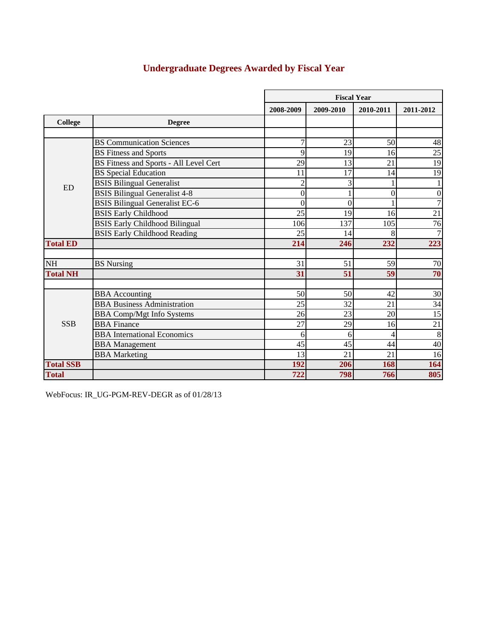# **Undergraduate Degrees Awarded by Fiscal Year**

|                  |                                               |                | <b>Fiscal Year</b> |                  |                  |  |  |  |
|------------------|-----------------------------------------------|----------------|--------------------|------------------|------------------|--|--|--|
|                  |                                               | 2008-2009      | 2009-2010          | 2010-2011        | 2011-2012        |  |  |  |
| <b>College</b>   | <b>Degree</b>                                 |                |                    |                  |                  |  |  |  |
|                  |                                               |                |                    |                  |                  |  |  |  |
|                  | <b>BS</b> Communication Sciences              | 7              | 23                 | 50               | 48               |  |  |  |
|                  | <b>BS Fitness and Sports</b>                  | 9              | 19                 | 16               | 25               |  |  |  |
|                  | <b>BS Fitness and Sports - All Level Cert</b> | 29             | 13                 | 21               | 19               |  |  |  |
|                  | <b>BS</b> Special Education                   | 11             | 17                 | 14               | 19               |  |  |  |
| <b>ED</b>        | <b>BSIS Bilingual Generalist</b>              | $\overline{c}$ | 3                  |                  |                  |  |  |  |
|                  | <b>BSIS Bilingual Generalist 4-8</b>          | $\mathbf{0}$   |                    | $\boldsymbol{0}$ | $\boldsymbol{0}$ |  |  |  |
|                  | <b>BSIS Bilingual Generalist EC-6</b>         | $\overline{0}$ | $\theta$           |                  | $\overline{7}$   |  |  |  |
|                  | <b>BSIS Early Childhood</b>                   | 25             | 19                 | 16               | $\overline{21}$  |  |  |  |
|                  | <b>BSIS Early Childhood Bilingual</b>         | 106            | 137                | 105              | $\overline{76}$  |  |  |  |
|                  | <b>BSIS Early Childhood Reading</b>           | 25             | 14                 | 8                | $\overline{7}$   |  |  |  |
| <b>Total ED</b>  |                                               | 214            | 246                | 232              | 223              |  |  |  |
|                  |                                               |                |                    |                  |                  |  |  |  |
| <b>NH</b>        | <b>BS</b> Nursing                             | 31             | 51                 | 59               | $70\,$           |  |  |  |
| <b>Total NH</b>  |                                               | 31             | 51                 | 59               | 70               |  |  |  |
|                  |                                               |                |                    |                  |                  |  |  |  |
|                  | <b>BBA</b> Accounting                         | 50             | 50                 | 42               | 30               |  |  |  |
|                  | <b>BBA Business Administration</b>            | 25             | 32                 | 21               | $\overline{34}$  |  |  |  |
|                  | <b>BBA Comp/Mgt Info Systems</b>              | 26             | 23                 | 20               | $\overline{15}$  |  |  |  |
| <b>SSB</b>       | <b>BBA</b> Finance                            | 27             | 29                 | 16               | $\overline{21}$  |  |  |  |
|                  | <b>BBA</b> International Economics            | 6              | 6                  | 4                | 8                |  |  |  |
|                  | <b>BBA</b> Management                         | 45             | 45                 | 44               | 40               |  |  |  |
|                  | <b>BBA</b> Marketing                          | 13             | 21                 | 21               | 16               |  |  |  |
| <b>Total SSB</b> |                                               | 192            | 206                | 168              | 164              |  |  |  |
| <b>Total</b>     |                                               | 722            | 798                | 766              | 805              |  |  |  |

WebFocus: IR\_UG-PGM-REV-DEGR as of 01/28/13